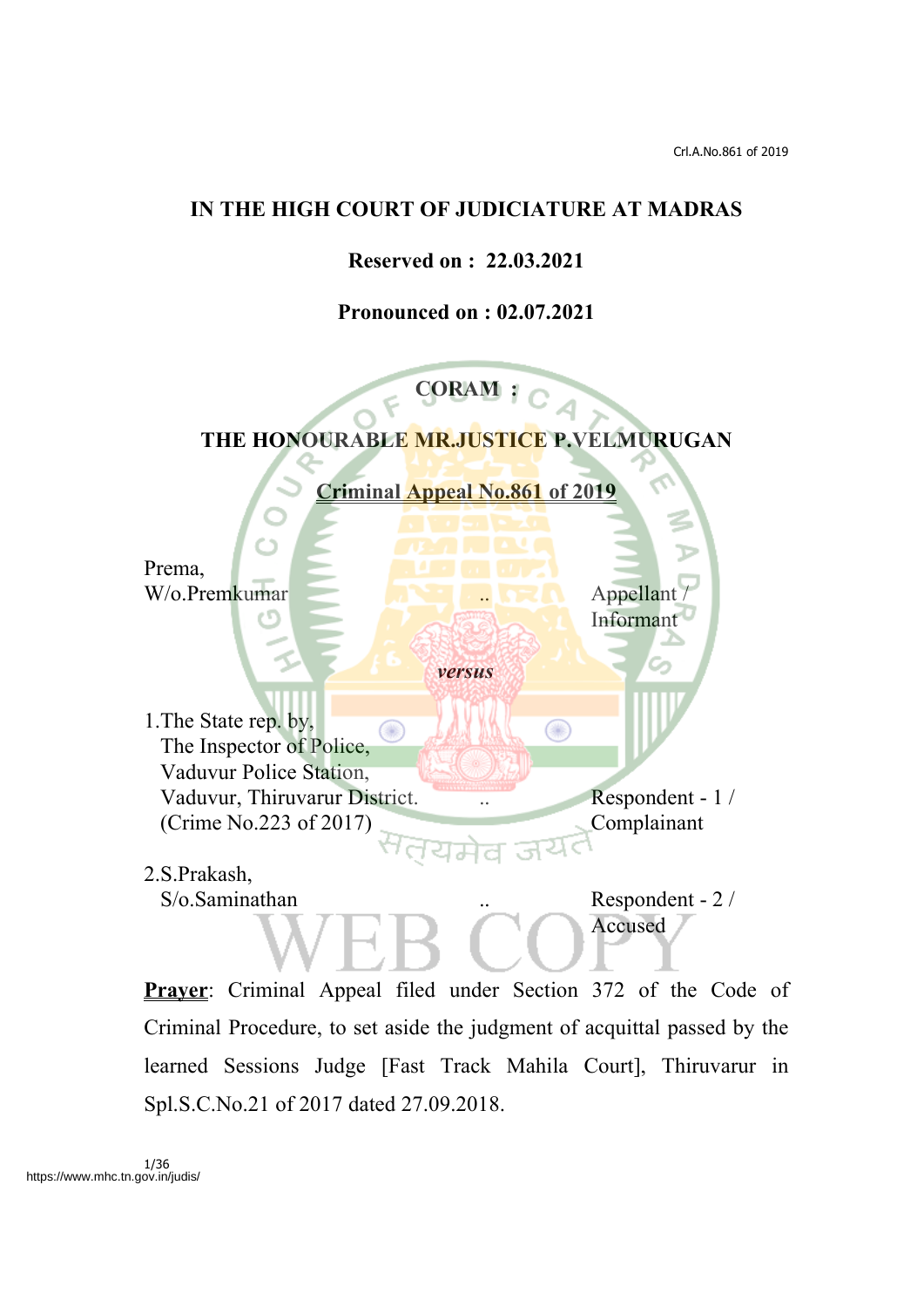### **IN THE HIGH COURT OF JUDICIATURE AT MADRAS**

**Reserved on : 22.03.2021**

**Pronounced on : 02.07.2021**



Criminal Procedure, to set aside the judgment of acquittal passed by the learned Sessions Judge [Fast Track Mahila Court], Thiruvarur in Spl.S.C.No.21 of 2017 dated 27.09.2018.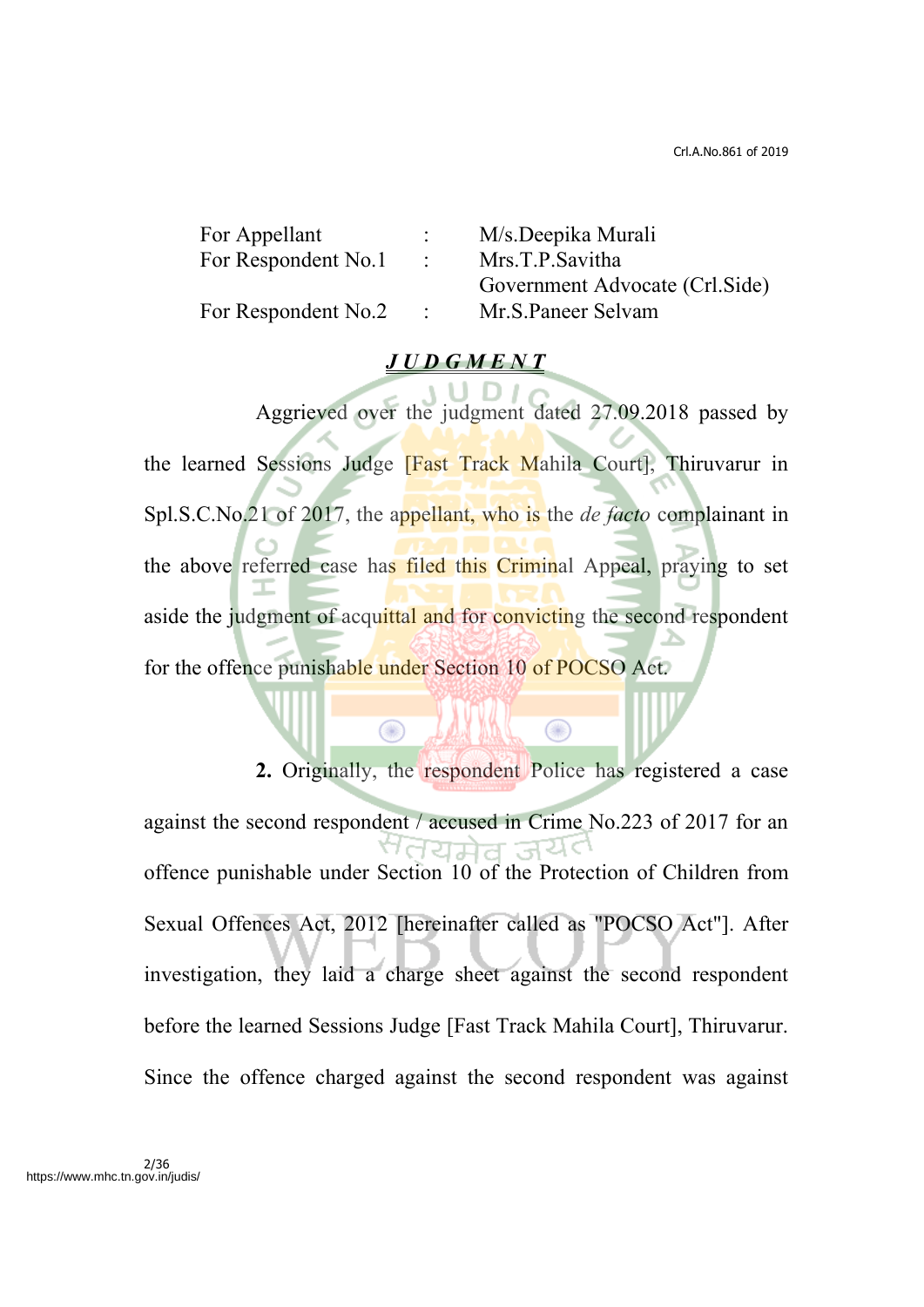| For Appellant       |            | M/s.Deepika Murali              |
|---------------------|------------|---------------------------------|
| For Respondent No.1 | $\sim 100$ | Mrs.T.P.Savitha                 |
|                     |            | Government Advocate (Crl. Side) |
| For Respondent No.2 |            | Mr.S.Paneer Selvam              |

#### *J U D G M E N T*

Aggrieved over the judgment dated 27.09.2018 passed by the learned Sessions Judge [Fast Track Mahila Court], Thiruvarur in Spl.S.C.No.21 of 2017, the appellant, who is the *de facto* complainant in the above referred case has filed this Criminal Appeal, praying to set aside the judgment of acquittal and for convicting the second respondent for the offence punishable under Section 10 of POCSO Act.

Œ

⋒

**2.** Originally, the respondent Police has registered a case against the second respondent / accused in Crime No.223 of 2017 for an offence punishable under Section 10 of the Protection of Children from Sexual Offences Act, 2012 [hereinafter called as "POCSO Act"]. After investigation, they laid a charge sheet against the second respondent before the learned Sessions Judge [Fast Track Mahila Court], Thiruvarur. Since the offence charged against the second respondent was against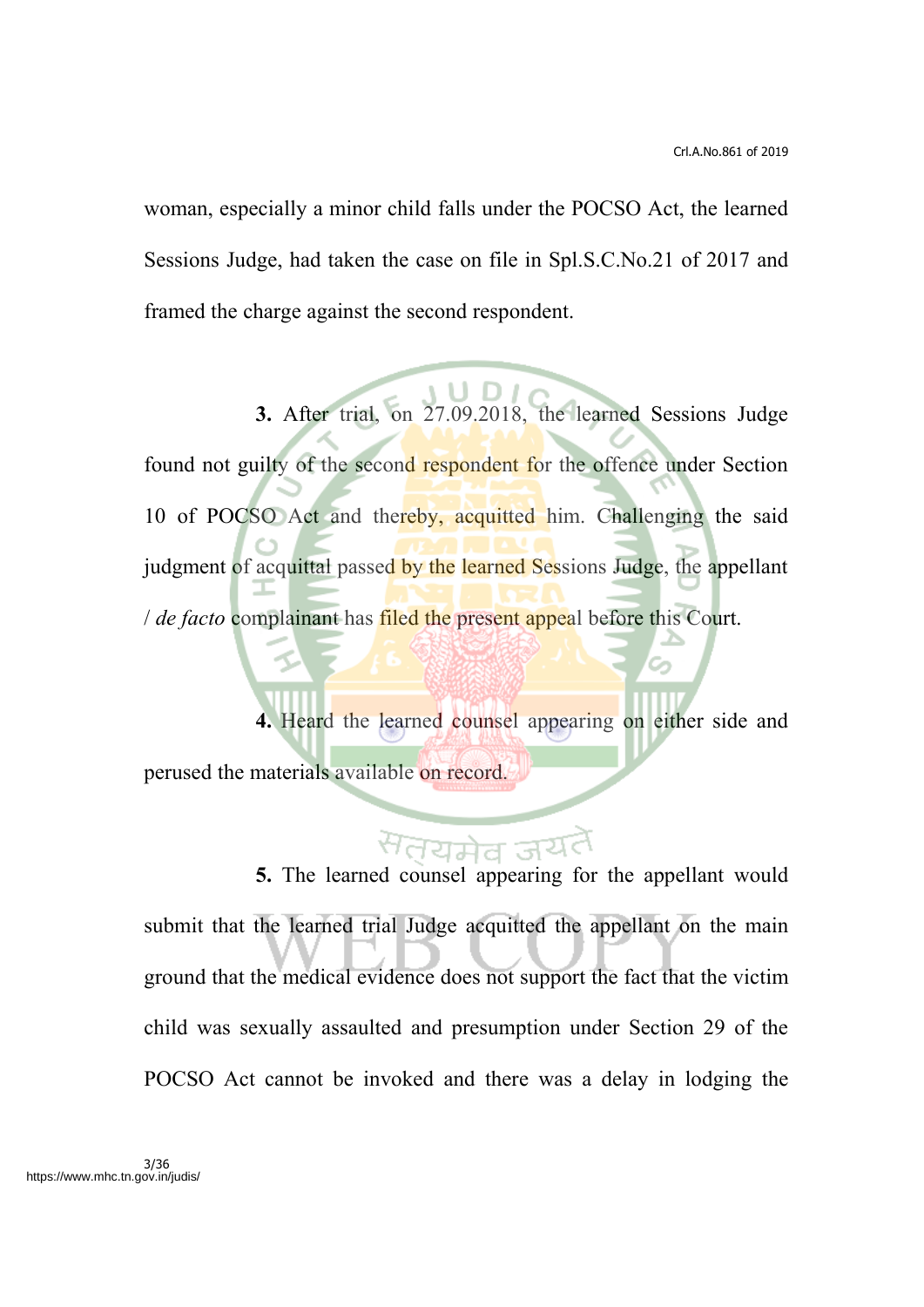woman, especially a minor child falls under the POCSO Act, the learned Sessions Judge, had taken the case on file in Spl.S.C.No.21 of 2017 and framed the charge against the second respondent.

**3.** After trial, on 27.09.2018, the learned Sessions Judge found not guilty of the second respondent for the offence under Section 10 of POCSO Act and thereby, acquitted him. Challenging the said judgment of acquittal passed by the learned Sessions Judge, the appellant / *de facto* complainant has filed the present appeal before this Court.

**4.** Heard the learned counsel appearing on either side and perused the materials available on record.

**5.** The learned counsel appearing for the appellant would submit that the learned trial Judge acquitted the appellant on the main ground that the medical evidence does not support the fact that the victim child was sexually assaulted and presumption under Section 29 of the POCSO Act cannot be invoked and there was a delay in lodging the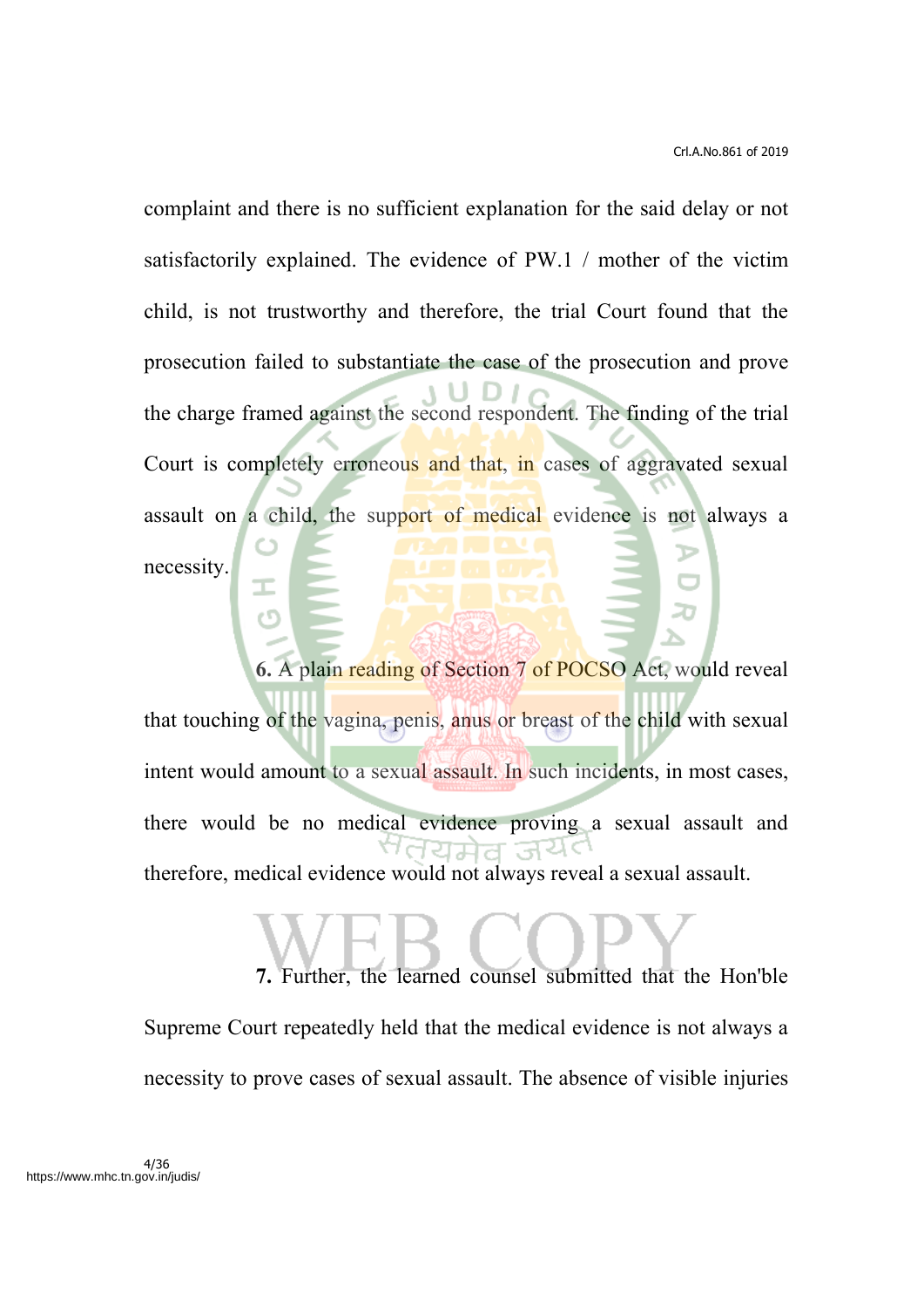complaint and there is no sufficient explanation for the said delay or not satisfactorily explained. The evidence of PW.1 / mother of the victim child, is not trustworthy and therefore, the trial Court found that the prosecution failed to substantiate the case of the prosecution and prove the charge framed against the second respondent. The finding of the trial Court is completely erroneous and that, in cases of aggravated sexual assault on a child, the support of medical evidence is not always a necessity.

**6.** A plain reading of Section 7 of POCSO Act, would reveal that touching of the vagina, penis, anus or breast of the child with sexual intent would amount to a sexual assault. In such incidents, in most cases, there would be no medical evidence proving a sexual assault and therefore, medical evidence would not always reveal a sexual assault.

**7.** Further, the learned counsel submitted that the Hon'ble Supreme Court repeatedly held that the medical evidence is not always a necessity to prove cases of sexual assault. The absence of visible injuries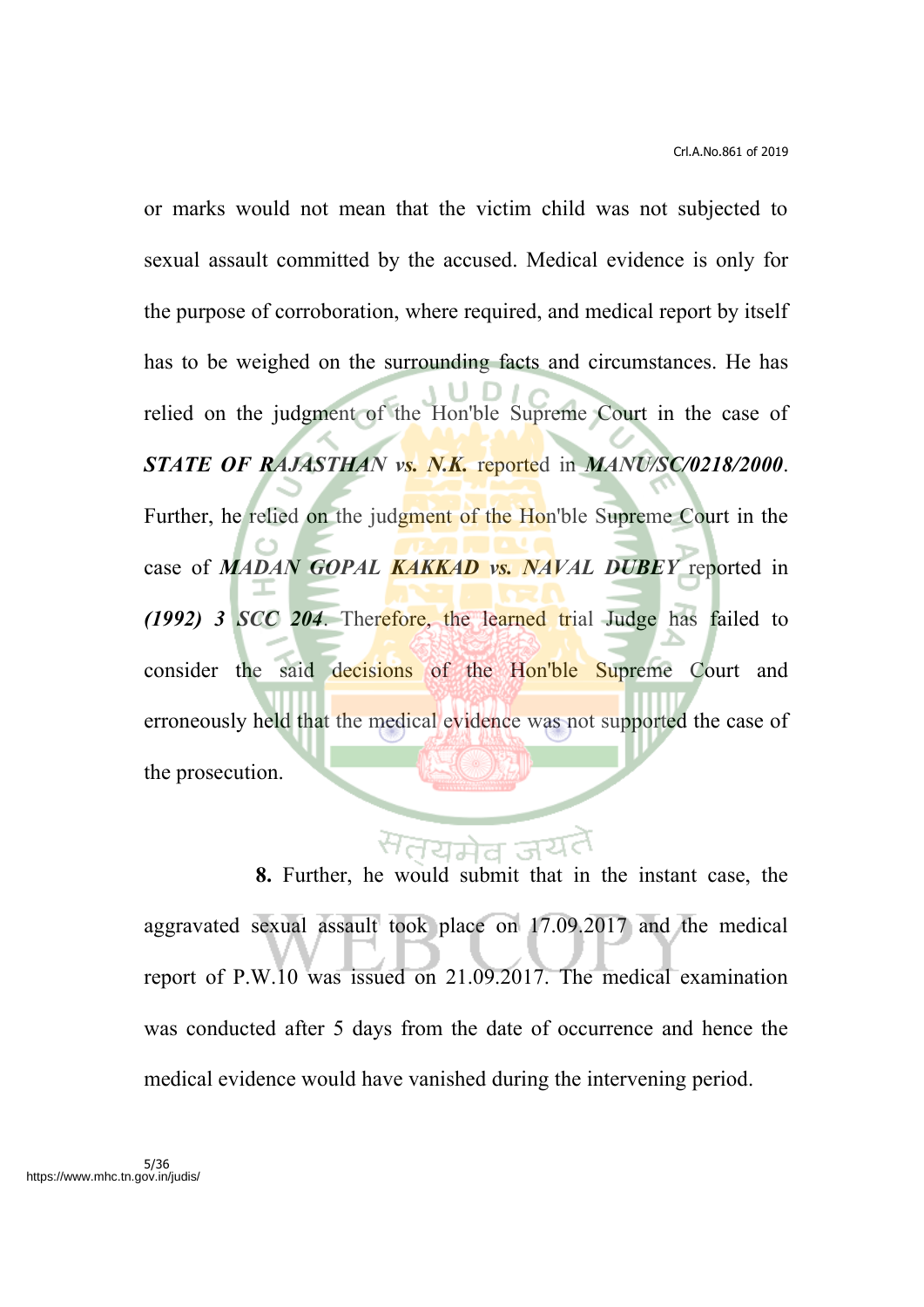or marks would not mean that the victim child was not subjected to sexual assault committed by the accused. Medical evidence is only for the purpose of corroboration, where required, and medical report by itself has to be weighed on the surrounding facts and circumstances. He has relied on the judgment of the Hon'ble Supreme Court in the case of *STATE OF RAJASTHAN vs. N.K.* reported in *MANU/SC/0218/2000*. Further, he relied on the judgment of the Hon'ble Supreme Court in the case of *MADAN GOPAL KAKKAD vs. NAVAL DUBEY* reported in *(1992) 3 SCC 204*. Therefore, the learned trial Judge has failed to consider the said decisions of the Hon'ble Supreme Court and erroneously held that the medical evidence was not supported the case of the prosecution.

**8.** Further, he would submit that in the instant case, the aggravated sexual assault took place on 17.09.2017 and the medical report of P.W.10 was issued on 21.09.2017. The medical examination was conducted after 5 days from the date of occurrence and hence the medical evidence would have vanished during the intervening period.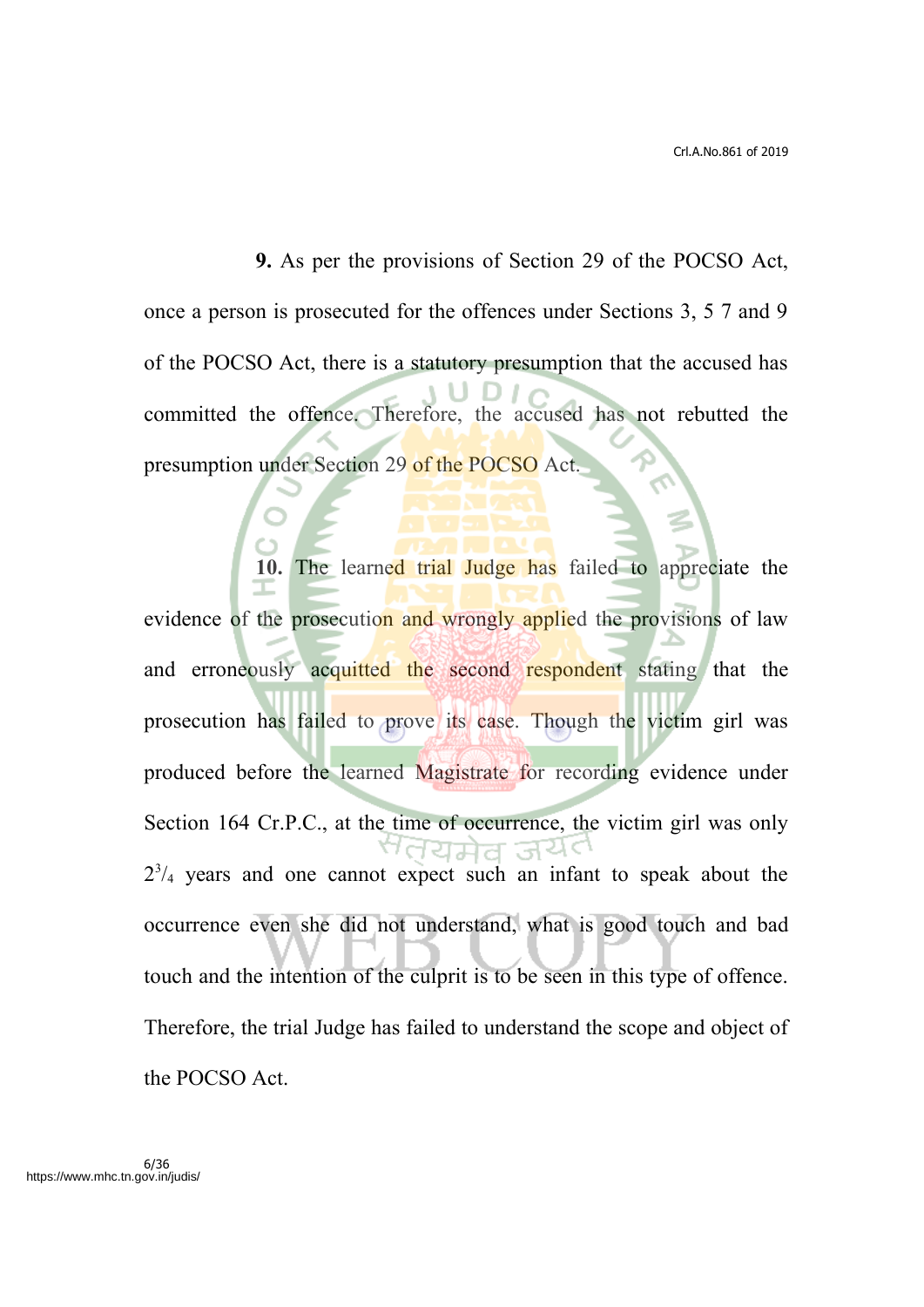**9.** As per the provisions of Section 29 of the POCSO Act, once a person is prosecuted for the offences under Sections 3, 5 7 and 9 of the POCSO Act, there is a statutory presumption that the accused has committed the offence. Therefore, the accused has not rebutted the presumption under Section 29 of the POCSO Act.

**10.** The learned trial Judge has failed to appreciate the evidence of the prosecution and wrongly applied the provisions of law and erroneously acquitted the second respondent stating that the prosecution has failed to prove its case. Though the victim girl was produced before the learned Magistrate for recording evidence under Section 164 Cr.P.C., at the time of occurrence, the victim girl was only  $2^{3}/_{4}$  years and one cannot expect such an infant to speak about the occurrence even she did not understand, what is good touch and bad touch and the intention of the culprit is to be seen in this type of offence. Therefore, the trial Judge has failed to understand the scope and object of the POCSO Act.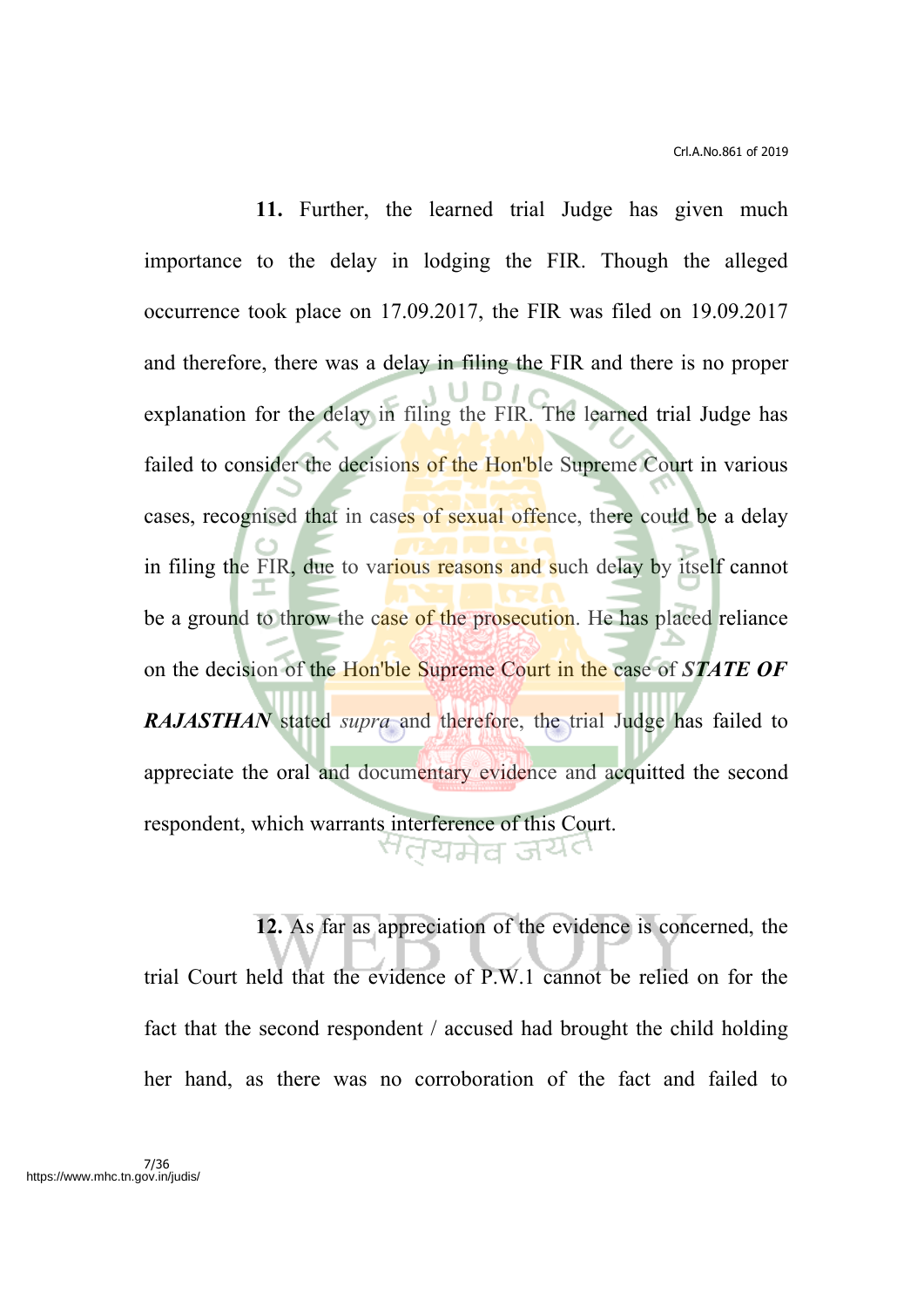**11.** Further, the learned trial Judge has given much importance to the delay in lodging the FIR. Though the alleged occurrence took place on 17.09.2017, the FIR was filed on 19.09.2017 and therefore, there was a delay in filing the FIR and there is no proper explanation for the delay in filing the FIR. The learned trial Judge has failed to consider the decisions of the Hon'ble Supreme Court in various cases, recognised that in cases of sexual offence, there could be a delay in filing the FIR, due to various reasons and such delay by itself cannot be a ground to throw the case of the prosecution. He has placed reliance on the decision of the Hon'ble Supreme Court in the case of *STATE OF RAJASTHAN* stated *supra* and therefore, the trial Judge has failed to appreciate the oral and documentary evidence and acquitted the second respondent, which warrants interference of this Court. सतयमेव जयत

**12.** As far as appreciation of the evidence is concerned, the trial Court held that the evidence of P.W.1 cannot be relied on for the fact that the second respondent / accused had brought the child holding her hand, as there was no corroboration of the fact and failed to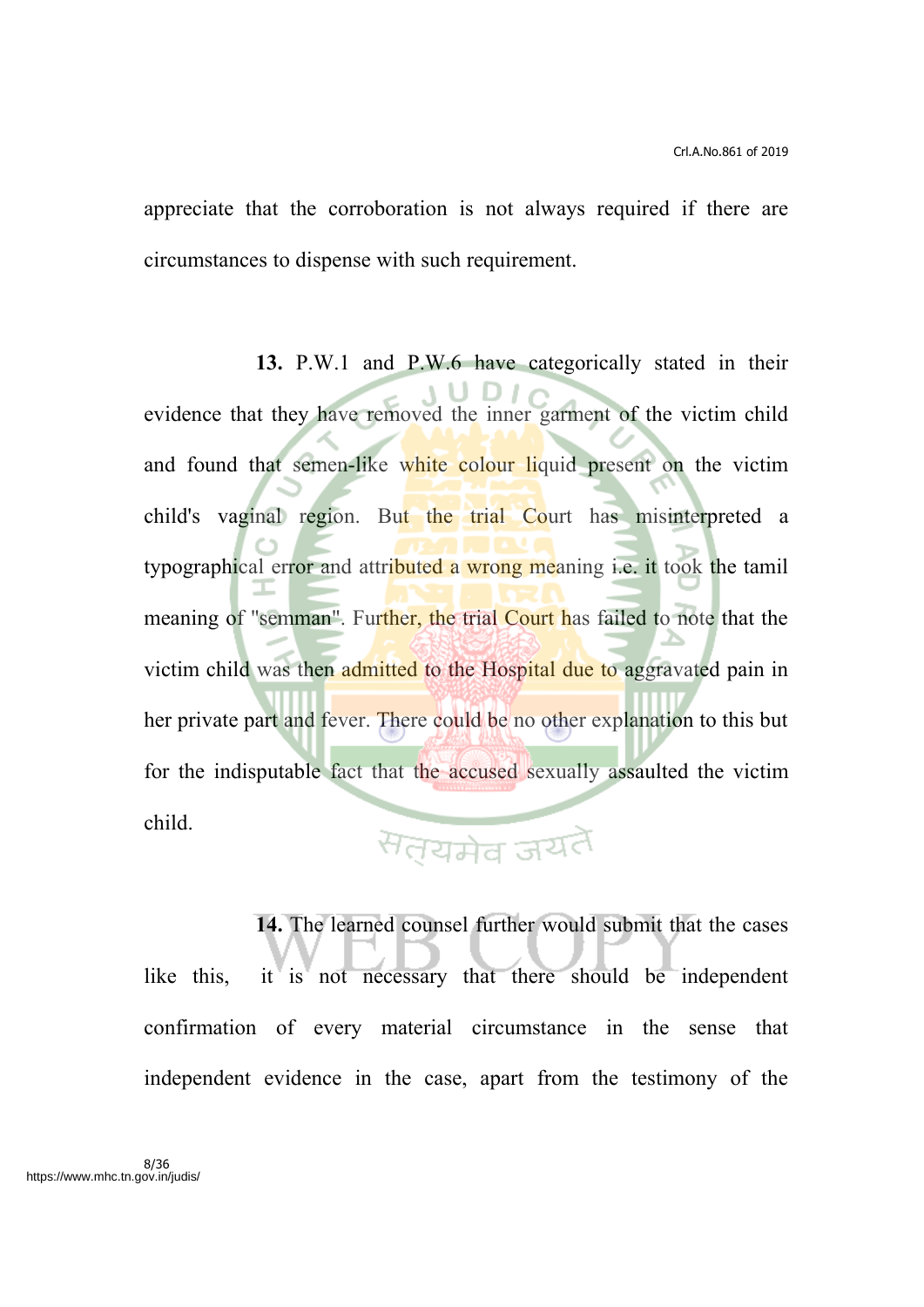appreciate that the corroboration is not always required if there are circumstances to dispense with such requirement.

**13.** P.W.1 and P.W.6 have categorically stated in their evidence that they have removed the inner garment of the victim child and found that semen-like white colour liquid present on the victim child's vaginal region. But the trial Court has misinterpreted a typographical error and attributed a wrong meaning i.e. it took the tamil meaning of "semman". Further, the trial Court has failed to note that the victim child was then admitted to the Hospital due to aggravated pain in her private part and fever. There could be no other explanation to this but for the indisputable fact that the accused sexually assaulted the victim child. सत्यमेव जयते

# **14.** The learned counsel further would submit that the cases like this, it is not necessary that there should be independent confirmation of every material circumstance in the sense that

independent evidence in the case, apart from the testimony of the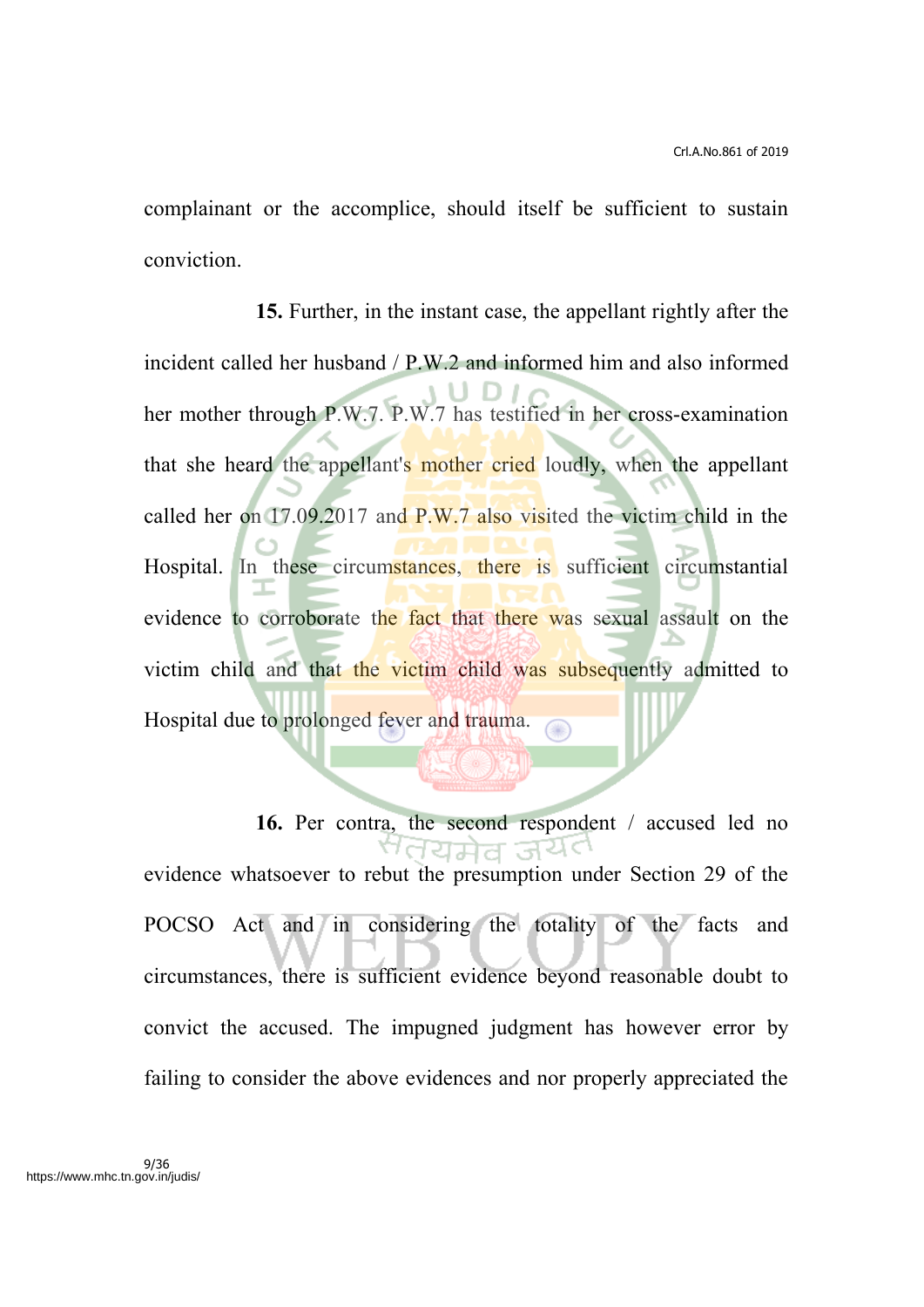complainant or the accomplice, should itself be sufficient to sustain conviction.

**15.** Further, in the instant case, the appellant rightly after the incident called her husband / P.W.2 and informed him and also informed her mother through P.W.7. P.W.7 has testified in her cross-examination that she heard the appellant's mother cried loudly, when the appellant called her on 17.09.2017 and P.W.7 also visited the victim child in the Hospital. In these circumstances, there is sufficient circumstantial evidence to corroborate the fact that there was sexual assault on the victim child and that the victim child was subsequently admitted to Hospital due to prolonged fever and trauma.

16. Per contra, the second respondent / accused led no <u>dans ਵਿੱਚ</u> evidence whatsoever to rebut the presumption under Section 29 of the POCSO Act and in considering the totality of the facts and circumstances, there is sufficient evidence beyond reasonable doubt to convict the accused. The impugned judgment has however error by failing to consider the above evidences and nor properly appreciated the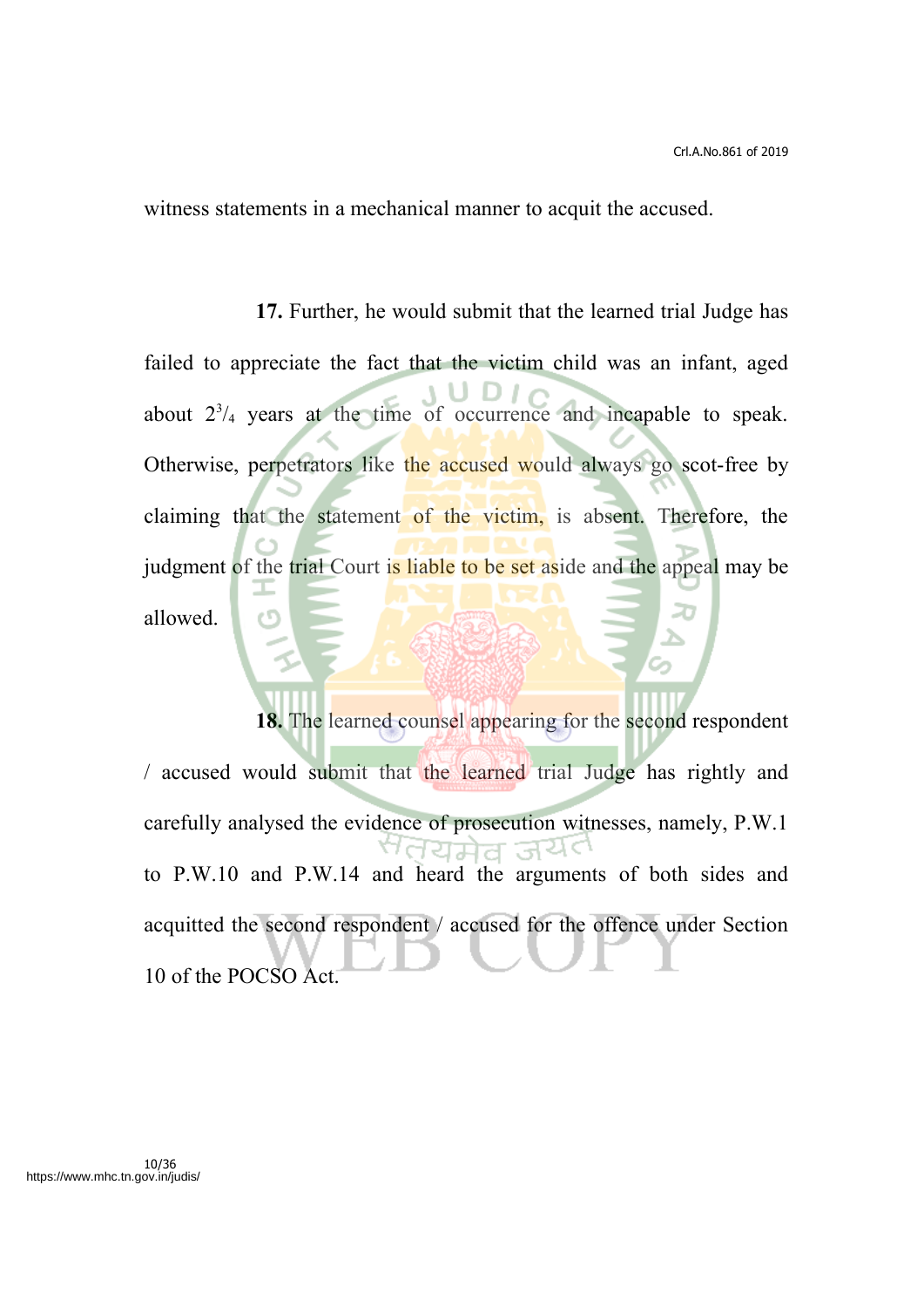witness statements in a mechanical manner to acquit the accused.

**17.** Further, he would submit that the learned trial Judge has failed to appreciate the fact that the victim child was an infant, aged about  $2^{3}/_{4}$  years at the time of occurrence and incapable to speak. Otherwise, perpetrators like the accused would always go scot-free by claiming that the statement of the victim, is absent. Therefore, the judgment of the trial Court is liable to be set aside and the appeal may be allowed.

**18.** The learned counsel appearing for the second respondent / accused would submit that the learned trial Judge has rightly and carefully analysed the evidence of prosecution witnesses, namely, P.W.1 ਹਿਸ਼ੇਰ ਤਪੇ to P.W.10 and P.W.14 and heard the arguments of both sides and acquitted the second respondent / accused for the offence under Section 10 of the POCSO Act.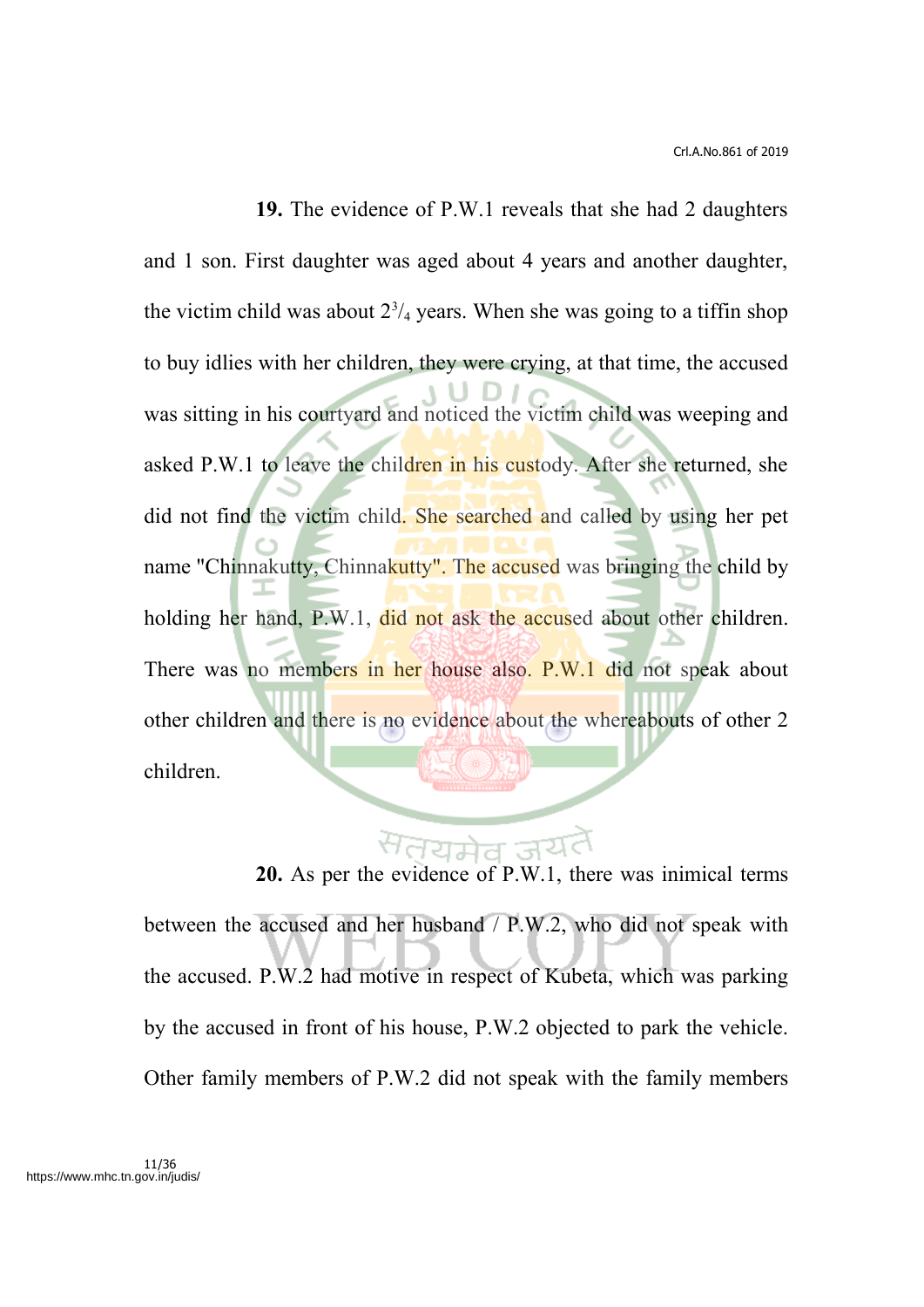**19.** The evidence of P.W.1 reveals that she had 2 daughters and 1 son. First daughter was aged about 4 years and another daughter, the victim child was about  $2^{3}/_{4}$  years. When she was going to a tiffin shop to buy idlies with her children, they were crying, at that time, the accused was sitting in his courtyard and noticed the victim child was weeping and asked P.W.1 to leave the children in his custody. After she returned, she did not find the victim child. She searched and called by using her pet name "Chinnakutty, Chinnakutty". The accused was bringing the child by holding her hand, P.W.1, did not ask the accused about other children. There was no members in her house also. P.W.1 did not speak about other children and there is no evidence about the whereabouts of other 2 children.

**20.** As per the evidence of P.W.1, there was inimical terms between the accused and her husband / P.W.2, who did not speak with the accused. P.W.2 had motive in respect of Kubeta, which was parking by the accused in front of his house, P.W.2 objected to park the vehicle. Other family members of P.W.2 did not speak with the family members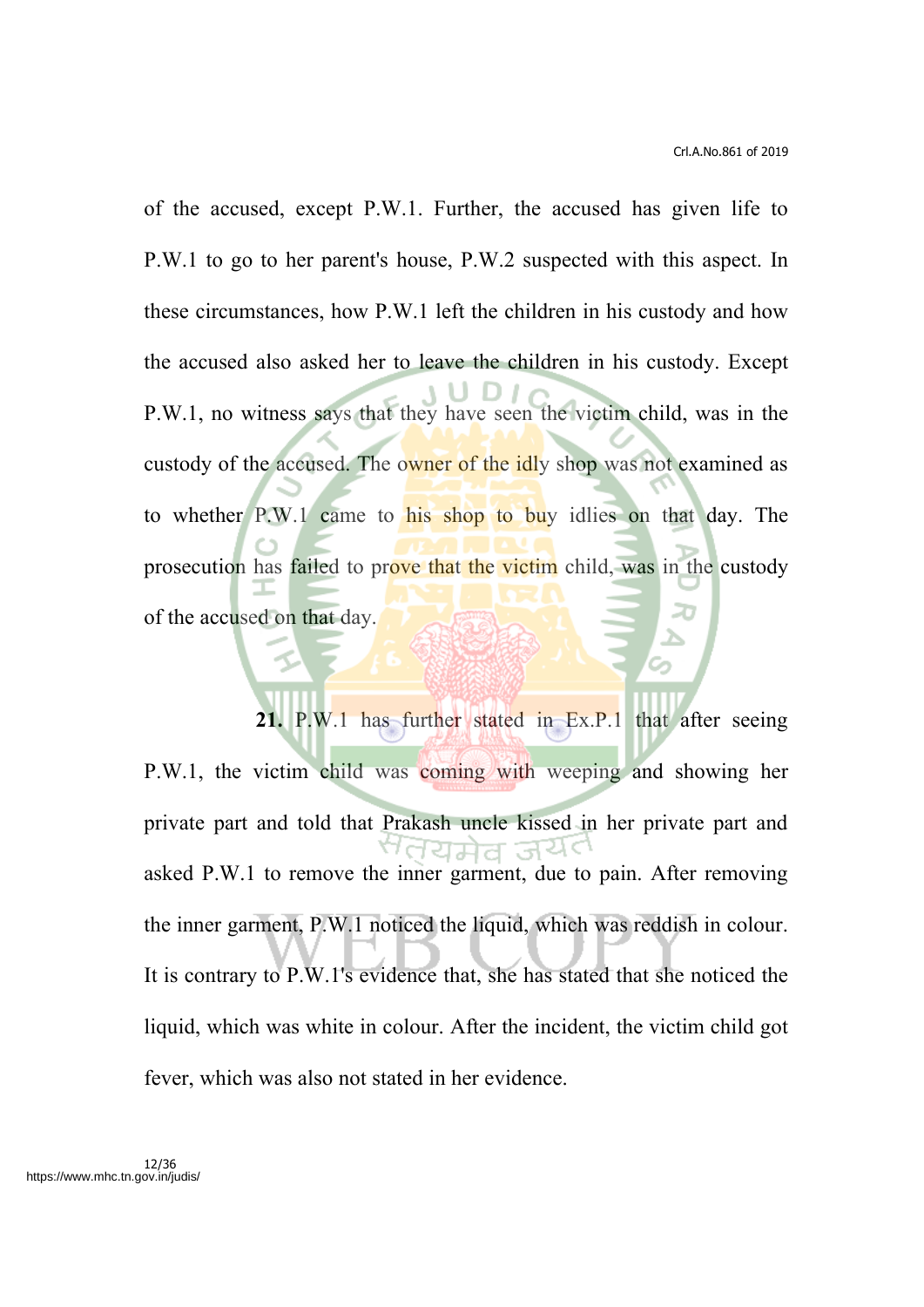of the accused, except P.W.1. Further, the accused has given life to P.W.1 to go to her parent's house, P.W.2 suspected with this aspect. In these circumstances, how P.W.1 left the children in his custody and how the accused also asked her to leave the children in his custody. Except P.W.1, no witness says that they have seen the victim child, was in the custody of the accused. The owner of the idly shop was not examined as to whether P.W.1 came to his shop to buy idlies on that day. The prosecution has failed to prove that the victim child, was in the custody of the accused on that day.

**21.** P.W.1 has further stated in Ex.P.1 that after seeing P.W.1, the victim child was coming with weeping and showing her private part and told that Prakash uncle kissed in her private part and IΠ asked P.W.1 to remove the inner garment, due to pain. After removing the inner garment, P.W.1 noticed the liquid, which was reddish in colour. It is contrary to P.W.1's evidence that, she has stated that she noticed the liquid, which was white in colour. After the incident, the victim child got fever, which was also not stated in her evidence.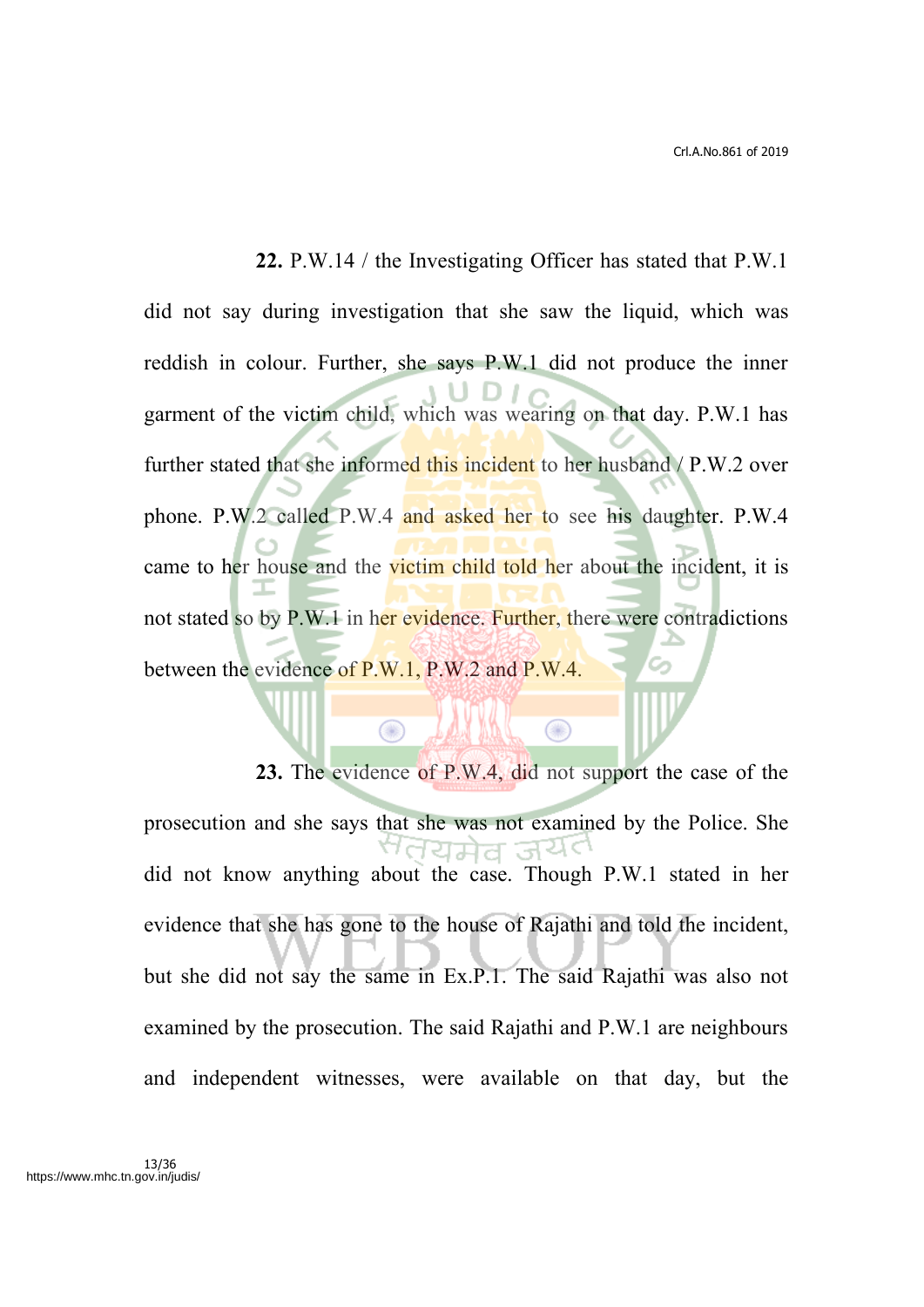**22.** P.W.14 / the Investigating Officer has stated that P.W.1 did not say during investigation that she saw the liquid, which was reddish in colour. Further, she says P.W.1 did not produce the inner garment of the victim child, which was wearing on that day. P.W.1 has further stated that she informed this incident to her husband / P.W.2 over phone. P.W.2 called P.W.4 and asked her to see his daughter. P.W.4 came to her house and the victim child told her about the incident, it is not stated so by P.W.1 in her evidence. Further, there were contradictions between the evidence of P.W.1, P.W.2 and P.W.4.

**23.** The evidence of P.W.4, did not support the case of the prosecution and she says that she was not examined by the Police. She ਾਰਧਸ਼ਰ ਤੇਖ did not know anything about the case. Though P.W.1 stated in her evidence that she has gone to the house of Rajathi and told the incident, but she did not say the same in Ex.P.1. The said Rajathi was also not examined by the prosecution. The said Rajathi and P.W.1 are neighbours and independent witnesses, were available on that day, but the

 $\bigcirc$ 

 $\bigcirc$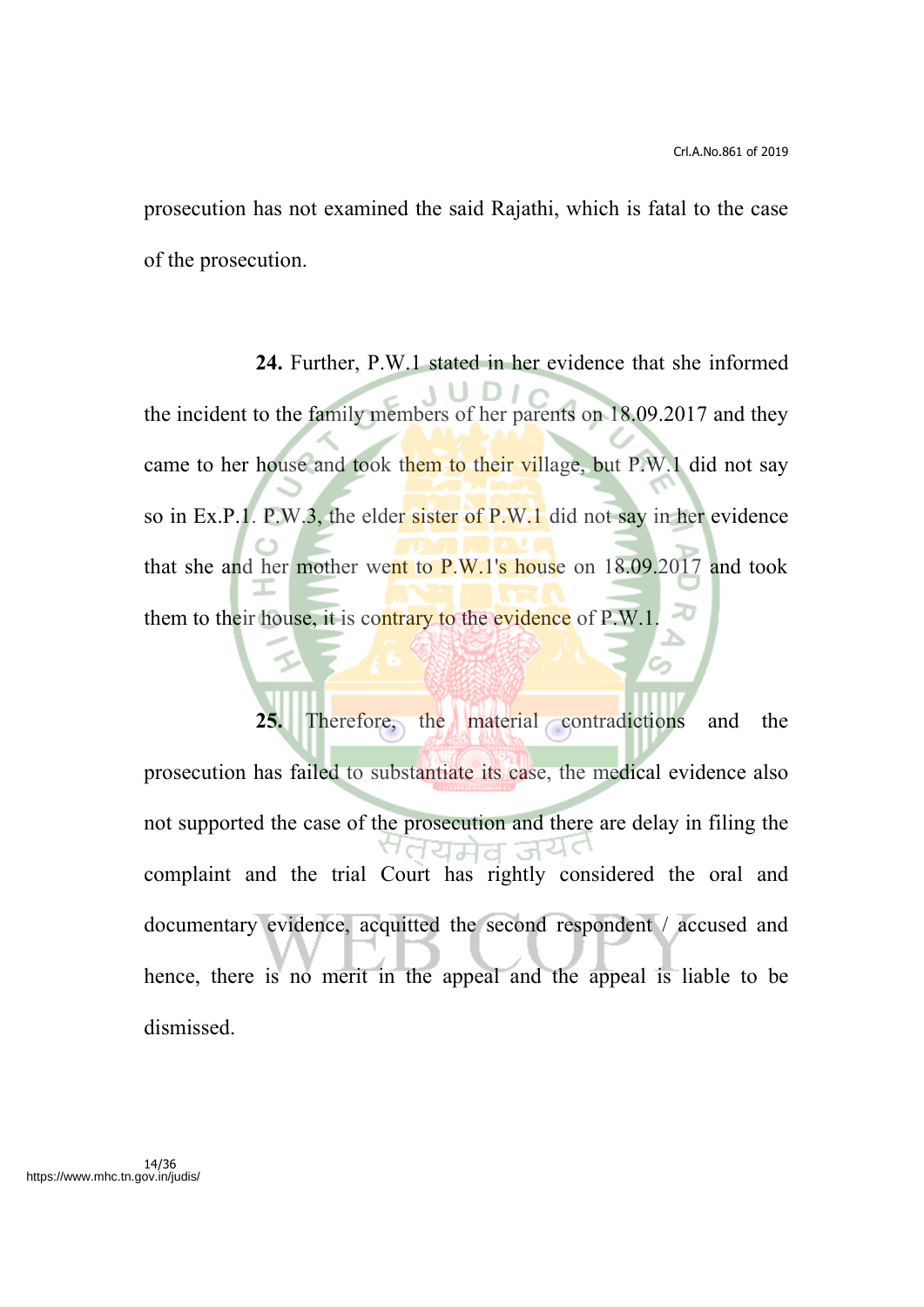prosecution has not examined the said Rajathi, which is fatal to the case of the prosecution.

**24.** Further, P.W.1 stated in her evidence that she informed the incident to the family members of her parents on 18.09.2017 and they came to her house and took them to their village, but P.W.1 did not say so in Ex.P.1. P.W.3, the elder sister of P.W.1 did not say in her evidence that she and her mother went to  $P.W.1's$  house on  $18.09.2017$  and took them to their house, it is contrary to the evidence of P.W.1.

**25.** Therefore, the material contradictions and the prosecution has failed to substantiate its case, the medical evidence also not supported the case of the prosecution and there are delay in filing the ਸ਼ਸ਼ੇਰ ਰਿਪੇ< complaint and the trial Court has rightly considered the oral and documentary evidence, acquitted the second respondent / accused and hence, there is no merit in the appeal and the appeal is liable to be dismissed.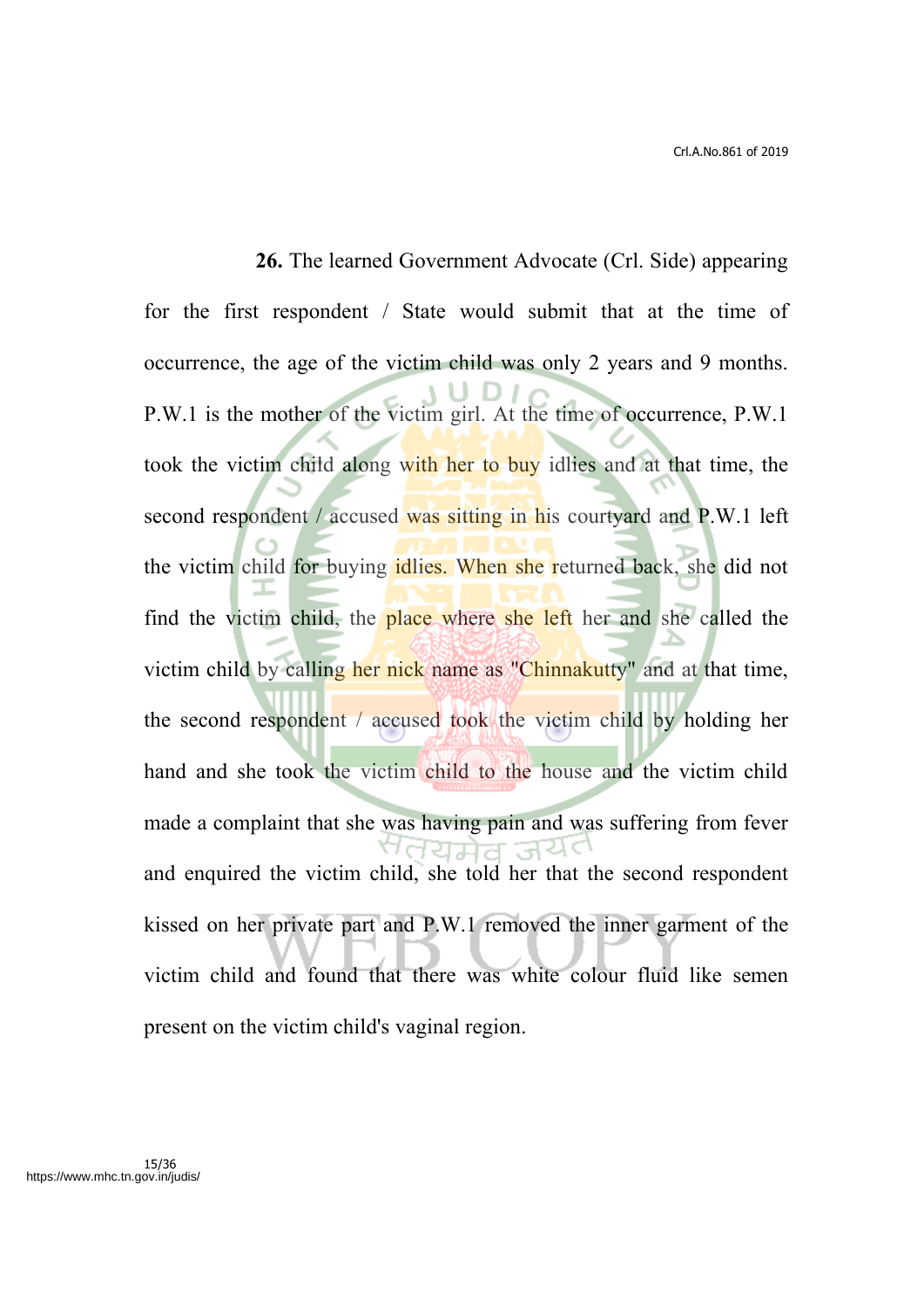**26.** The learned Government Advocate (Crl. Side) appearing for the first respondent / State would submit that at the time of occurrence, the age of the victim child was only 2 years and 9 months. P.W.1 is the mother of the victim girl. At the time of occurrence, P.W.1 took the victim child along with her to buy idlies and at that time, the second respondent / accused was sitting in his courtyard and P.W.1 left the victim child for buying idlies. When she returned back, she did not find the victim child, the place where she left her and she called the victim child by calling her nick name as "Chinnakutty" and at that time, the second respondent / accused took the victim child by holding her hand and she took the victim child to the house and the victim child made a complaint that she was having pain and was suffering from fever ਹਿਸ਼ੇਰ ਤੇਖੋ and enquired the victim child, she told her that the second respondent kissed on her private part and P.W.1 removed the inner garment of the victim child and found that there was white colour fluid like semen present on the victim child's vaginal region.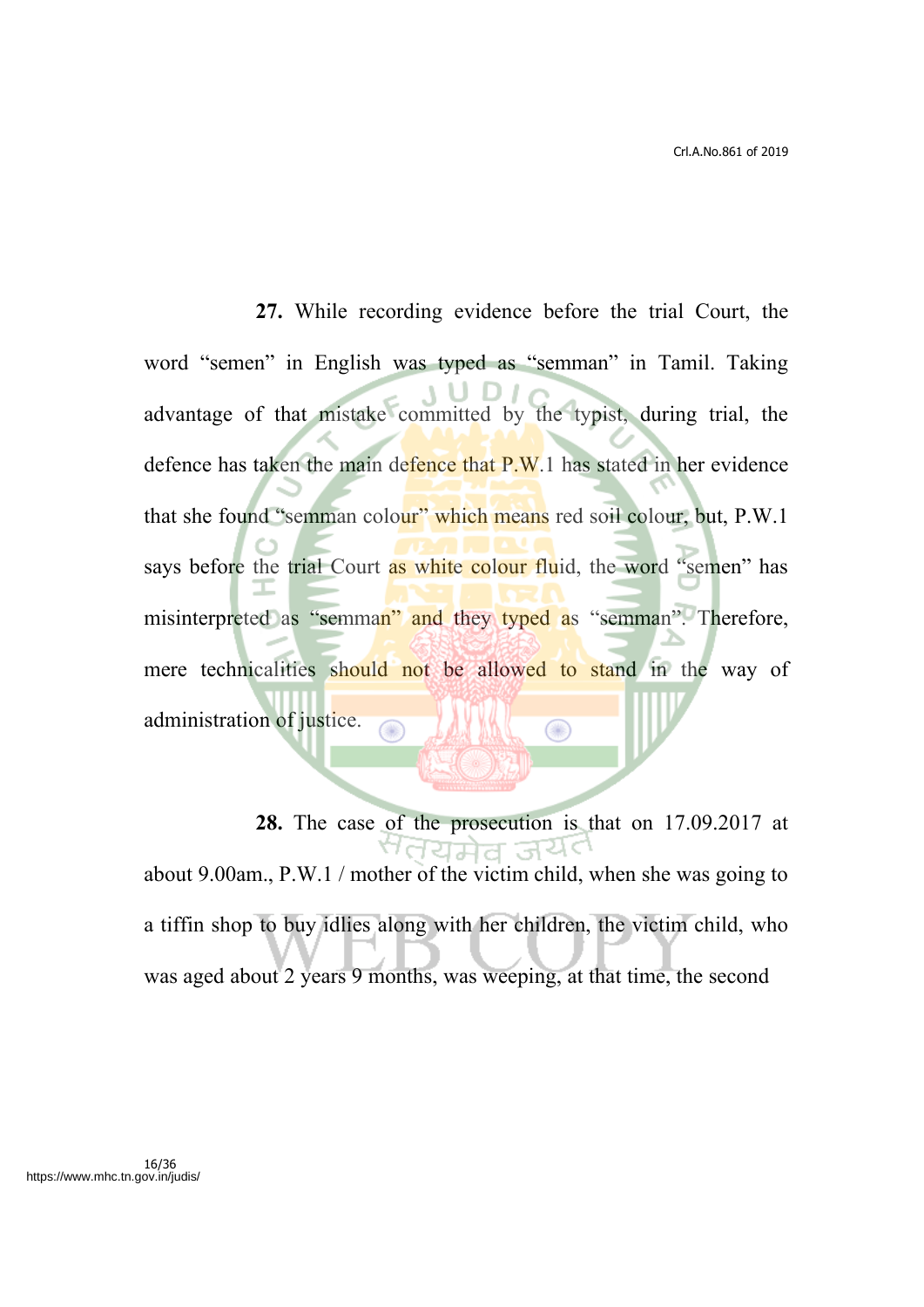**27.** While recording evidence before the trial Court, the word "semen" in English was typed as "semman" in Tamil. Taking advantage of that mistake committed by the typist, during trial, the defence has taken the main defence that P.W.1 has stated in her evidence that she found "semman colour" which means red soil colour, but, P.W.1 says before the trial Court as white colour fluid, the word "semen" has misinterpreted as "semman" and they typed as "semman". Therefore, mere technicalities should not be allowed to stand in the way of administration of justice. Œ

**28.** The case of the prosecution is that on 17.09.2017 at <sup>a</sup>dयमेव जयं about 9.00am., P.W.1 / mother of the victim child, when she was going to a tiffin shop to buy idlies along with her children, the victim child, who was aged about 2 years 9 months, was weeping, at that time, the second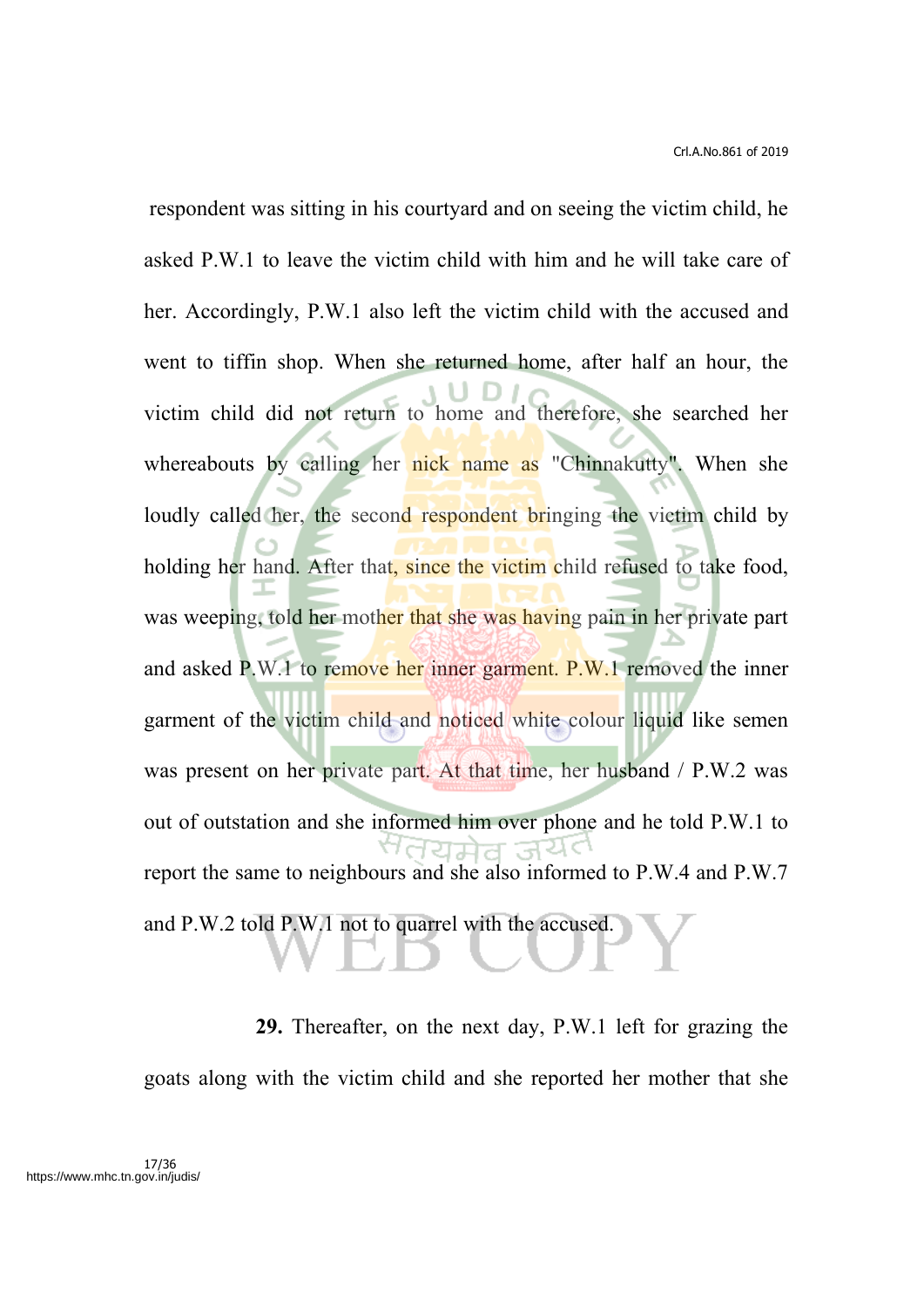Crl.A.No.861 of 2019

 respondent was sitting in his courtyard and on seeing the victim child, he asked P.W.1 to leave the victim child with him and he will take care of her. Accordingly, P.W.1 also left the victim child with the accused and went to tiffin shop. When she returned home, after half an hour, the victim child did not return to home and therefore, she searched her whereabouts by calling her nick name as "Chinnakutty". When she loudly called her, the second respondent bringing the victim child by holding her hand. After that, since the victim child refused to take food, was weeping, told her mother that she was having pain in her private part and asked P.W.1 to remove her inner garment. P.W.1 removed the inner garment of the victim child and noticed white colour liquid like semen was present on her private part. At that time, her husband / P.W.2 was out of outstation and she informed him over phone and he told P.W.1 to report the same to neighbours and she also informed to P.W.4 and P.W.7 and P.W.2 told P.W.1 not to quarrel with the accused.

**29.** Thereafter, on the next day, P.W.1 left for grazing the goats along with the victim child and she reported her mother that she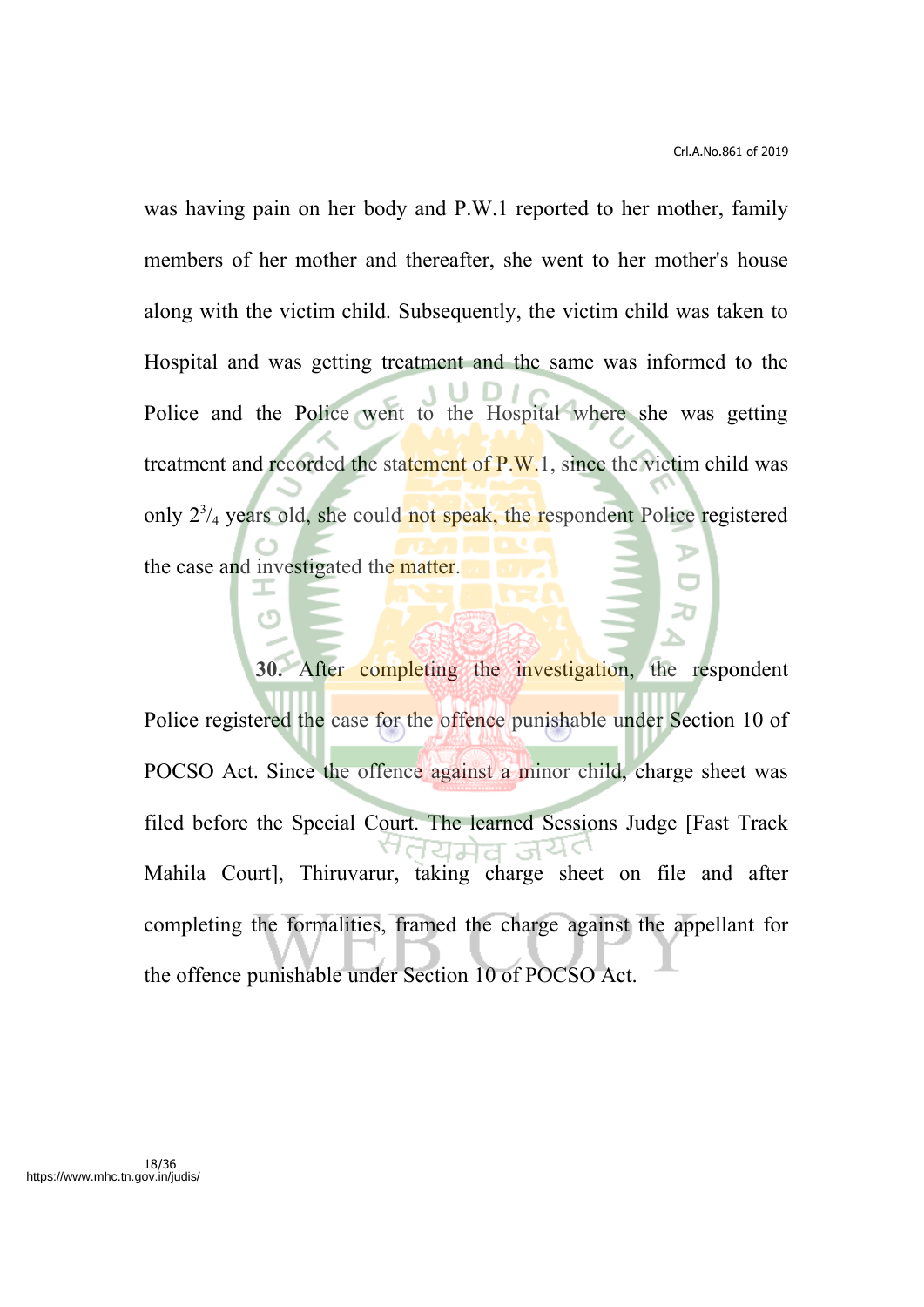was having pain on her body and P.W.1 reported to her mother, family members of her mother and thereafter, she went to her mother's house along with the victim child. Subsequently, the victim child was taken to Hospital and was getting treatment and the same was informed to the Police and the Police went to the Hospital where she was getting treatment and recorded the statement of P.W.1, since the victim child was only 2<sup>3</sup>/<sub>4</sub> years old, she could not speak, the respondent Police registered the case and investigated the matter.

**30.** After completing the investigation, the respondent Police registered the case for the offence punishable under Section 10 of POCSO Act. Since the offence against a minor child, charge sheet was filed before the Special Court. The learned Sessions Judge [Fast Track Mahila Court], Thiruvarur, taking charge sheet on file and after completing the formalities, framed the charge against the appellant for the offence punishable under Section 10 of POCSO Act.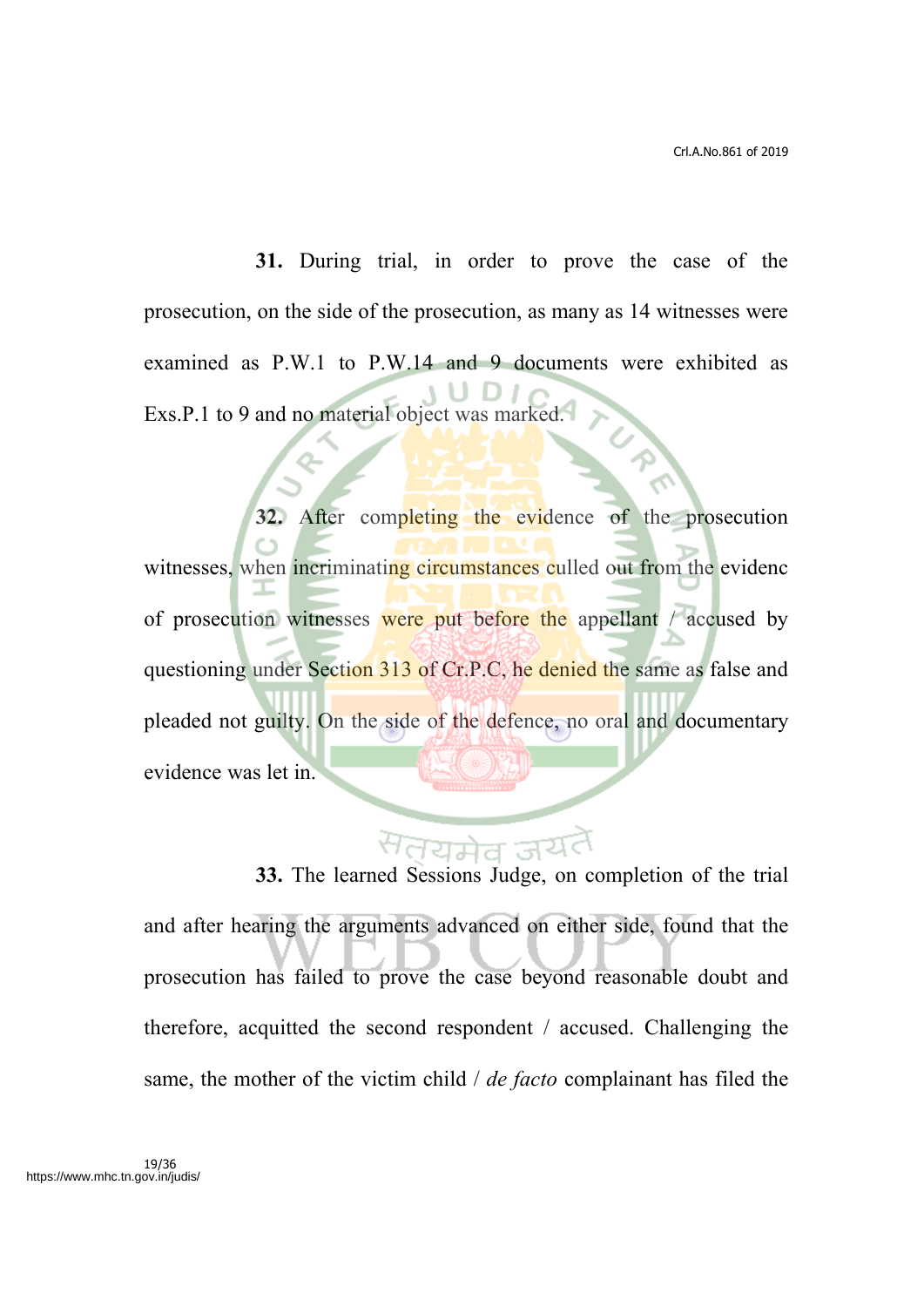**31.** During trial, in order to prove the case of the prosecution, on the side of the prosecution, as many as 14 witnesses were examined as P.W.1 to P.W.14 and 9 documents were exhibited as Exs.P.1 to 9 and no material object was marked.

**32.** After completing the evidence of the prosecution witnesses, when incriminating circumstances culled out from the evidence of prosecution witnesses were put before the appellant / accused by questioning under Section 313 of Cr.P.C, he denied the same as false and pleaded not guilty. On the side of the defence, no oral and documentary evidence was let in.

# **33.** The learned Sessions Judge, on completion of the trial and after hearing the arguments advanced on either side, found that the prosecution has failed to prove the case beyond reasonable doubt and therefore, acquitted the second respondent / accused. Challenging the same, the mother of the victim child / *de facto* complainant has filed the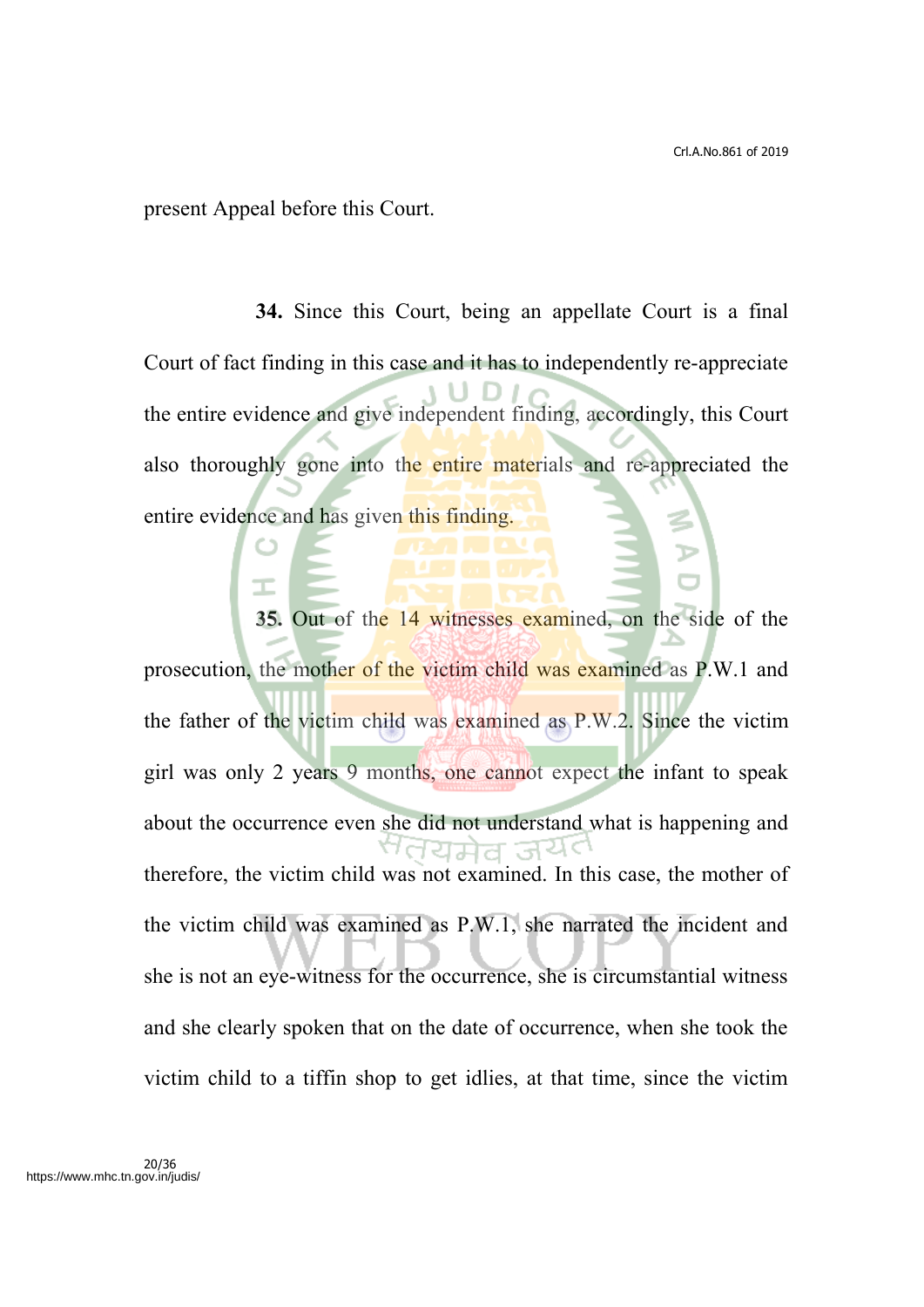present Appeal before this Court.

**34.** Since this Court, being an appellate Court is a final Court of fact finding in this case and it has to independently re-appreciate the entire evidence and give independent finding, accordingly, this Court also thoroughly gone into the entire materials and re-appreciated the entire evidence and has given this finding.

**35.** Out of the 14 witnesses examined, on the side of the prosecution, the mother of the victim child was examined as P.W.1 and the father of the victim child was examined as P.W.2. Since the victim girl was only 2 years 9 months, one cannot expect the infant to speak about the occurrence even she did not understand what is happening and therefore, the victim child was not examined. In this case, the mother of the victim child was examined as P.W.1, she narrated the incident and she is not an eye-witness for the occurrence, she is circumstantial witness and she clearly spoken that on the date of occurrence, when she took the victim child to a tiffin shop to get idlies, at that time, since the victim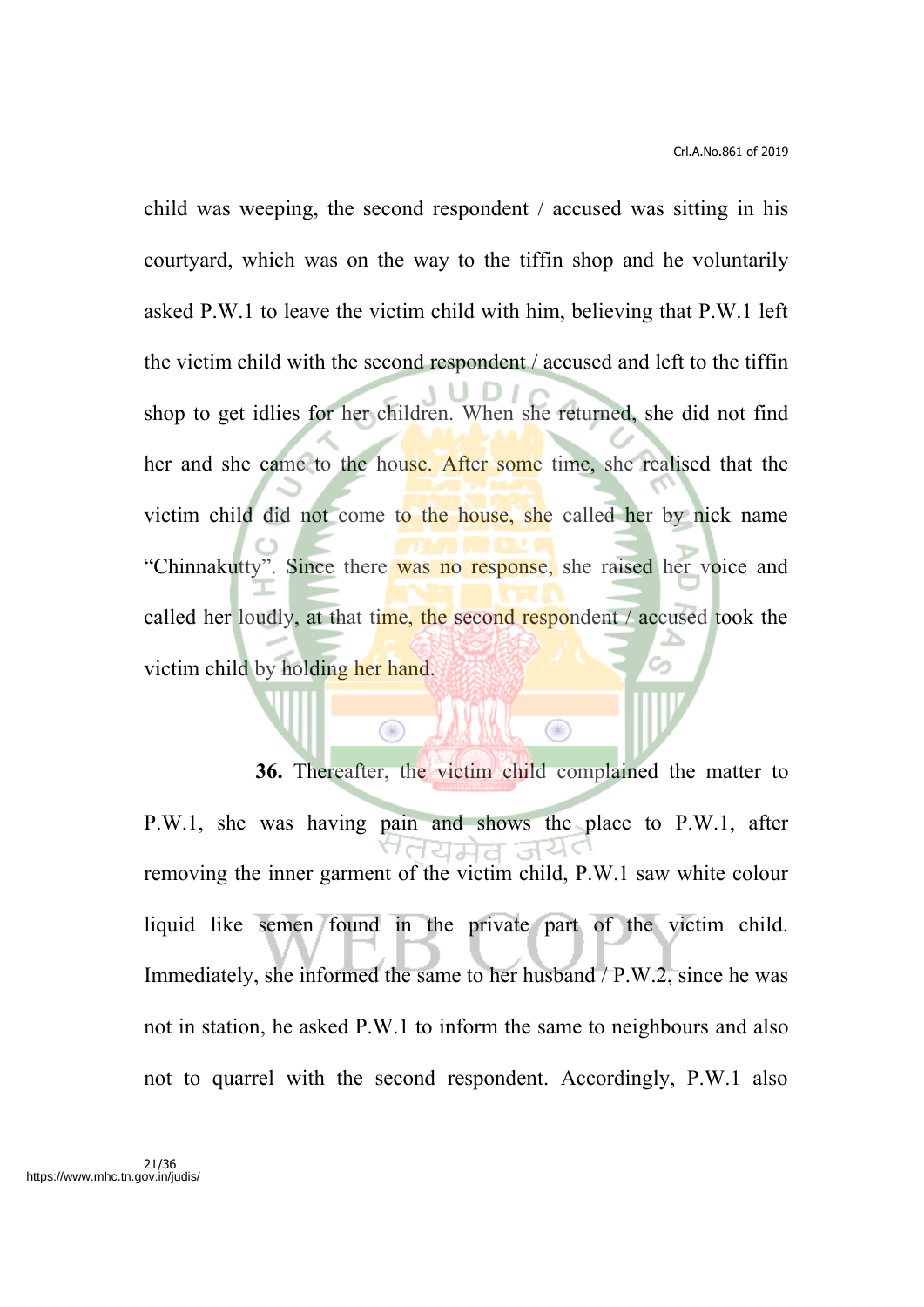child was weeping, the second respondent / accused was sitting in his courtyard, which was on the way to the tiffin shop and he voluntarily asked P.W.1 to leave the victim child with him, believing that P.W.1 left the victim child with the second respondent / accused and left to the tiffin shop to get idlies for her children. When she returned, she did not find her and she came to the house. After some time, she realised that the victim child did not come to the house, she called her by nick name "Chinnakutty". Since there was no response, she raised her voice and called her loudly, at that time, the second respondent / accused took the victim child by holding her hand.

**36.** Thereafter, the victim child complained the matter to P.W.1, she was having pain and shows the place to P.W.1, after removing the inner garment of the victim child, P.W.1 saw white colour liquid like semen found in the private part of the victim child. Immediately, she informed the same to her husband / P.W.2, since he was not in station, he asked P.W.1 to inform the same to neighbours and also not to quarrel with the second respondent. Accordingly, P.W.1 also

 $\bigcirc$ 

⋒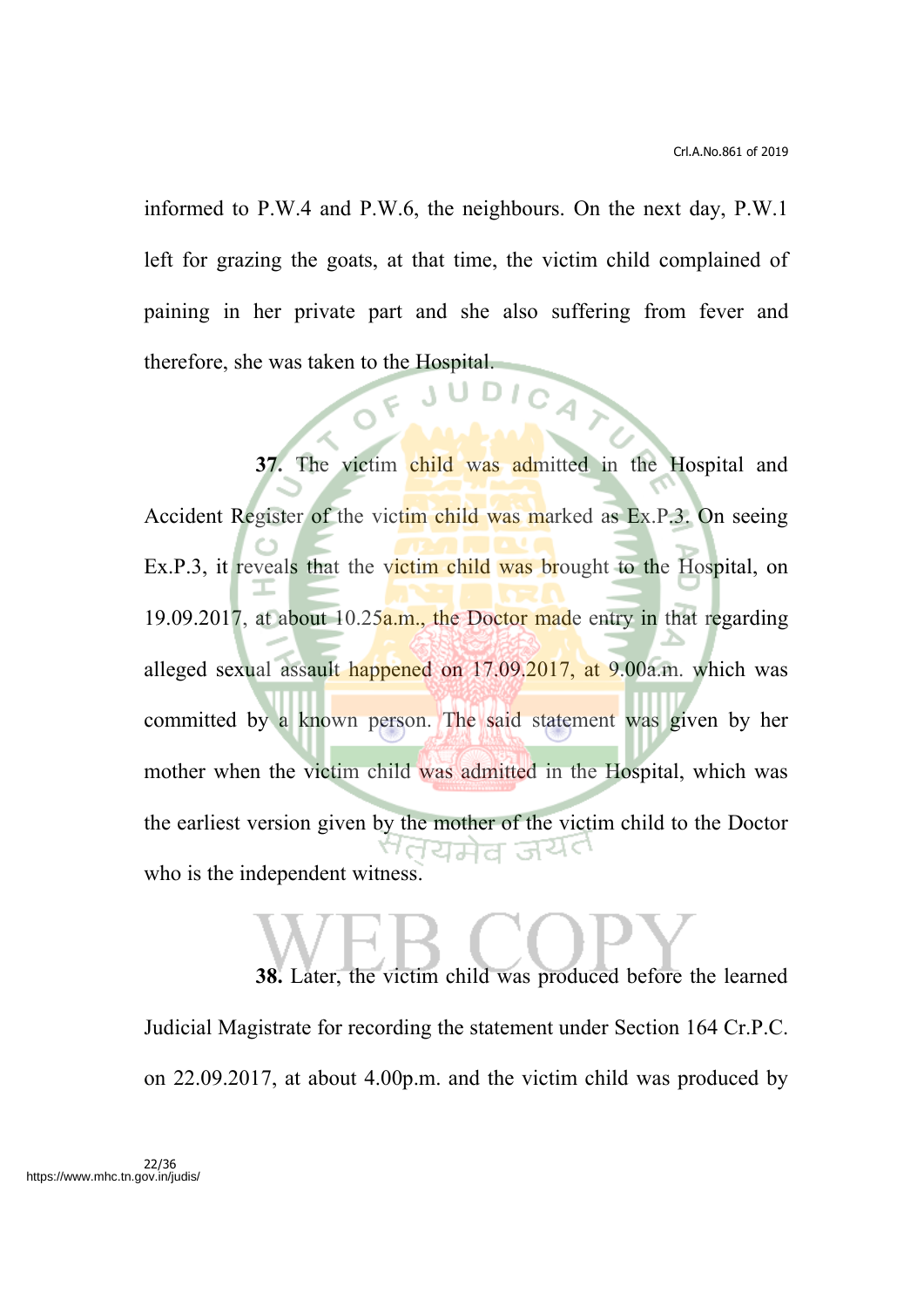informed to P.W.4 and P.W.6, the neighbours. On the next day, P.W.1 left for grazing the goats, at that time, the victim child complained of paining in her private part and she also suffering from fever and therefore, she was taken to the Hospital.

**37.** The victim child was admitted in the Hospital and Accident Register of the victim child was marked as Ex.P.3. On seeing Ex.P.3, it reveals that the victim child was brought to the Hospital, on 19.09.2017, at about 10.25a.m., the Doctor made entry in that regarding alleged sexual assault happened on 17.09.2017, at 9.00a.m. which was committed by a known person. The said statement was given by her mother when the victim child was admitted in the Hospital, which was the earliest version given by the mother of the victim child to the Doctor who is the independent witness.

**38.** Later, the victim child was produced before the learned Judicial Magistrate for recording the statement under Section 164 Cr.P.C. on 22.09.2017, at about 4.00p.m. and the victim child was produced by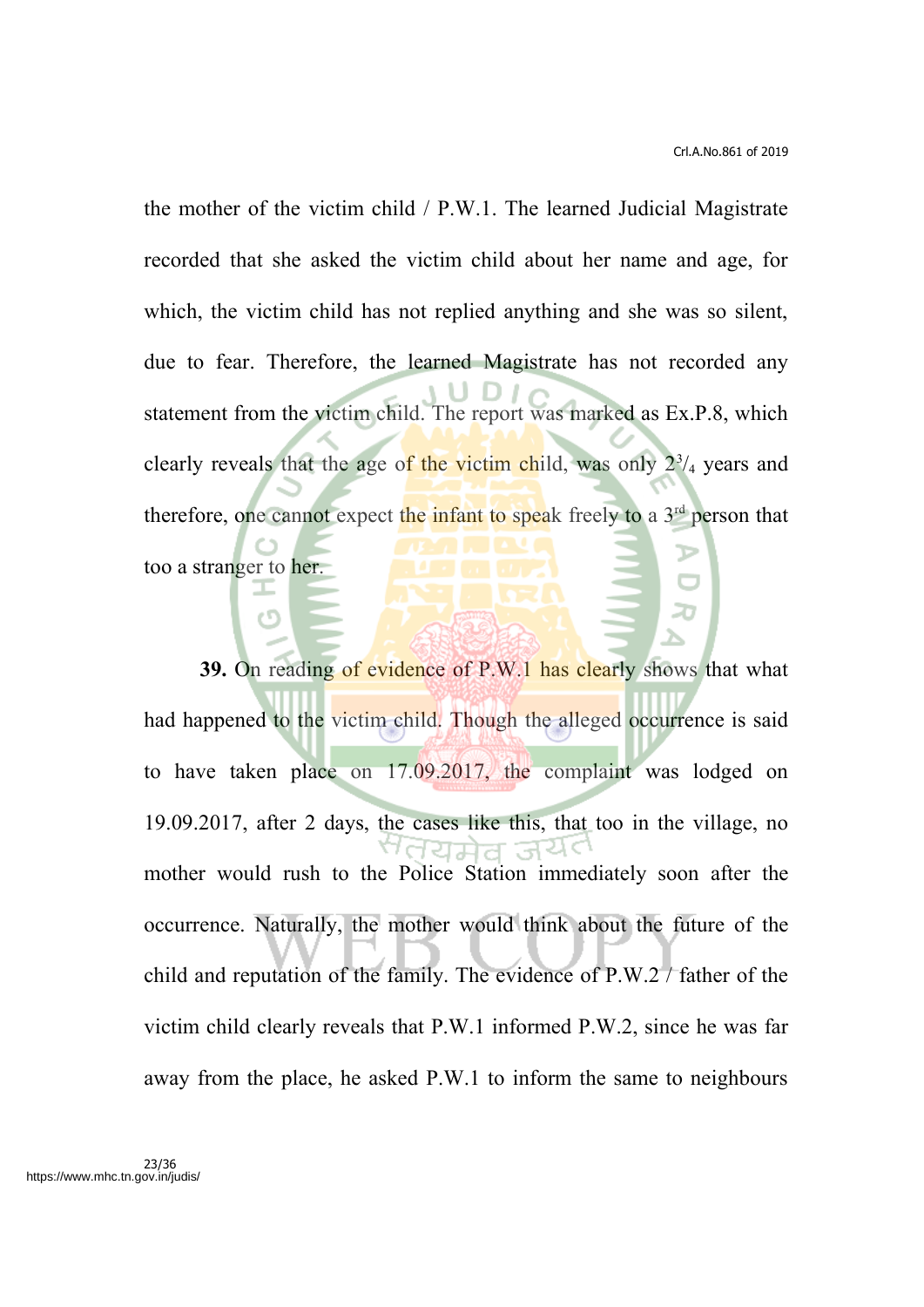the mother of the victim child / P.W.1. The learned Judicial Magistrate recorded that she asked the victim child about her name and age, for which, the victim child has not replied anything and she was so silent, due to fear. Therefore, the learned Magistrate has not recorded any statement from the victim child. The report was marked as Ex.P.8, which clearly reveals that the age of the victim child, was only  $2^{3}/_{4}$  years and therefore, one cannot expect the infant to speak freely to a 3<sup>rd</sup> person that too a stranger to her. T

**39.** On reading of evidence of P.W.1 has clearly shows that what had happened to the victim child. Though the alleged occurrence is said to have taken place on 17.09.2017, the complaint was lodged on 19.09.2017, after 2 days, the cases like this, that too in the village, no mother would rush to the Police Station immediately soon after the occurrence. Naturally, the mother would think about the future of the child and reputation of the family. The evidence of P.W.2 / father of the victim child clearly reveals that P.W.1 informed P.W.2, since he was far away from the place, he asked P.W.1 to inform the same to neighbours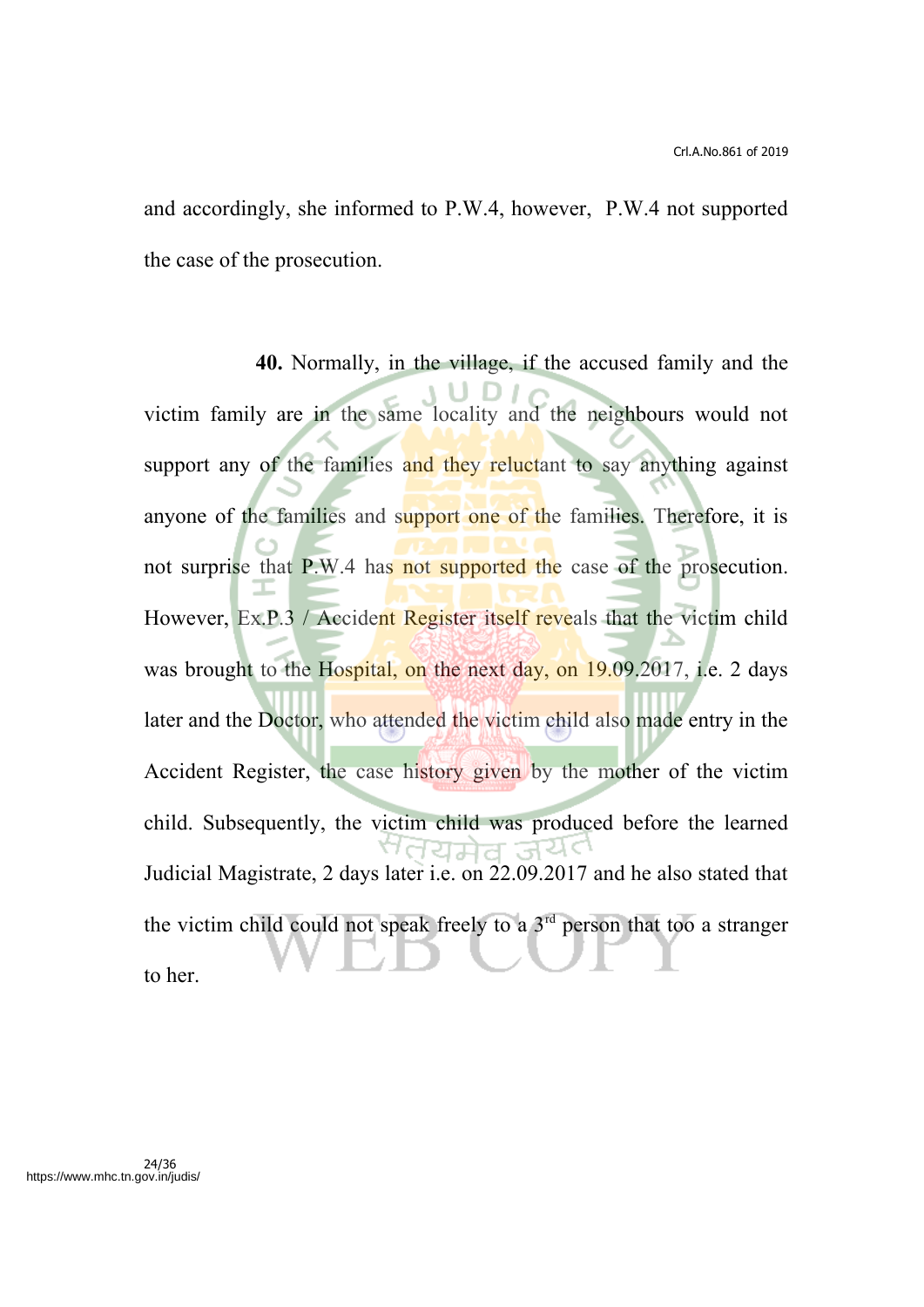and accordingly, she informed to P.W.4, however, P.W.4 not supported the case of the prosecution.

**40.** Normally, in the village, if the accused family and the victim family are in the same locality and the neighbours would not support any of the families and they reluctant to say anything against anyone of the families and support one of the families. Therefore, it is not surprise that P.W.4 has not supported the case of the prosecution. However, Ex.P.3 / Accident Register itself reveals that the victim child was brought to the Hospital, on the next day, on 19.09.2017, i.e. 2 days later and the Doctor, who attended the victim child also made entry in the Accident Register, the case history given by the mother of the victim child. Subsequently, the victim child was produced before the learned 7ਰਧਸ਼ੇਰ ਤਪਿ< Judicial Magistrate, 2 days later i.e. on 22.09.2017 and he also stated that the victim child could not speak freely to a  $3<sup>rd</sup>$  person that too a stranger to her.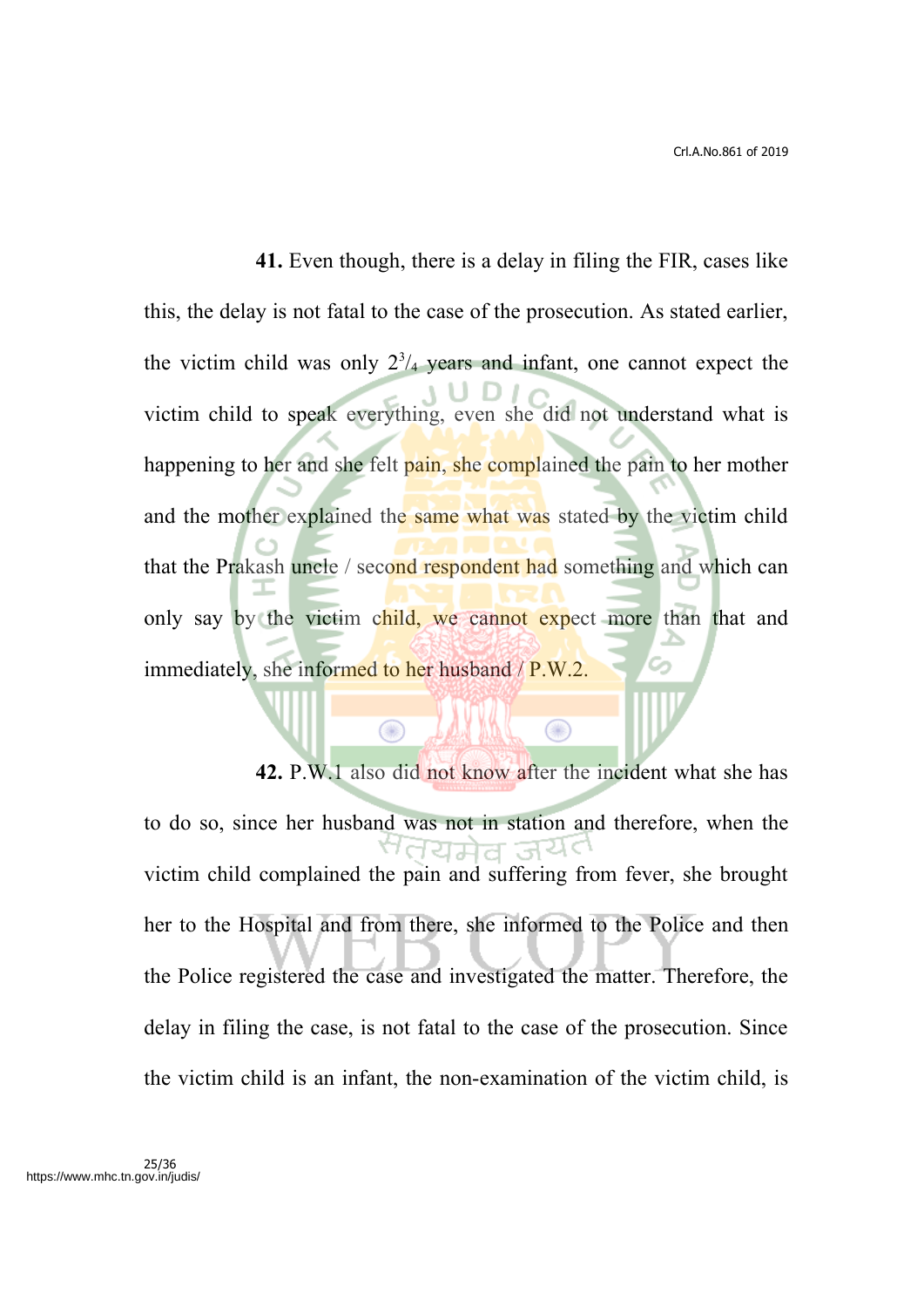**41.** Even though, there is a delay in filing the FIR, cases like this, the delay is not fatal to the case of the prosecution. As stated earlier, the victim child was only  $2<sup>3</sup>/4$  years and infant, one cannot expect the victim child to speak everything, even she did not understand what is happening to her and she felt pain, she complained the pain to her mother and the mother explained the same what was stated by the victim child that the Prakash uncle / second respondent had something and which can only say by the victim child, we cannot expect more than that and immediately, she informed to her husband  $/ P.W.2$ .

**42.** P.W.1 also did not know after the incident what she has to do so, since her husband was not in station and therefore, when the 12738 victim child complained the pain and suffering from fever, she brought her to the Hospital and from there, she informed to the Police and then the Police registered the case and investigated the matter. Therefore, the delay in filing the case, is not fatal to the case of the prosecution. Since the victim child is an infant, the non-examination of the victim child, is

 $\bigcirc$ 

⋒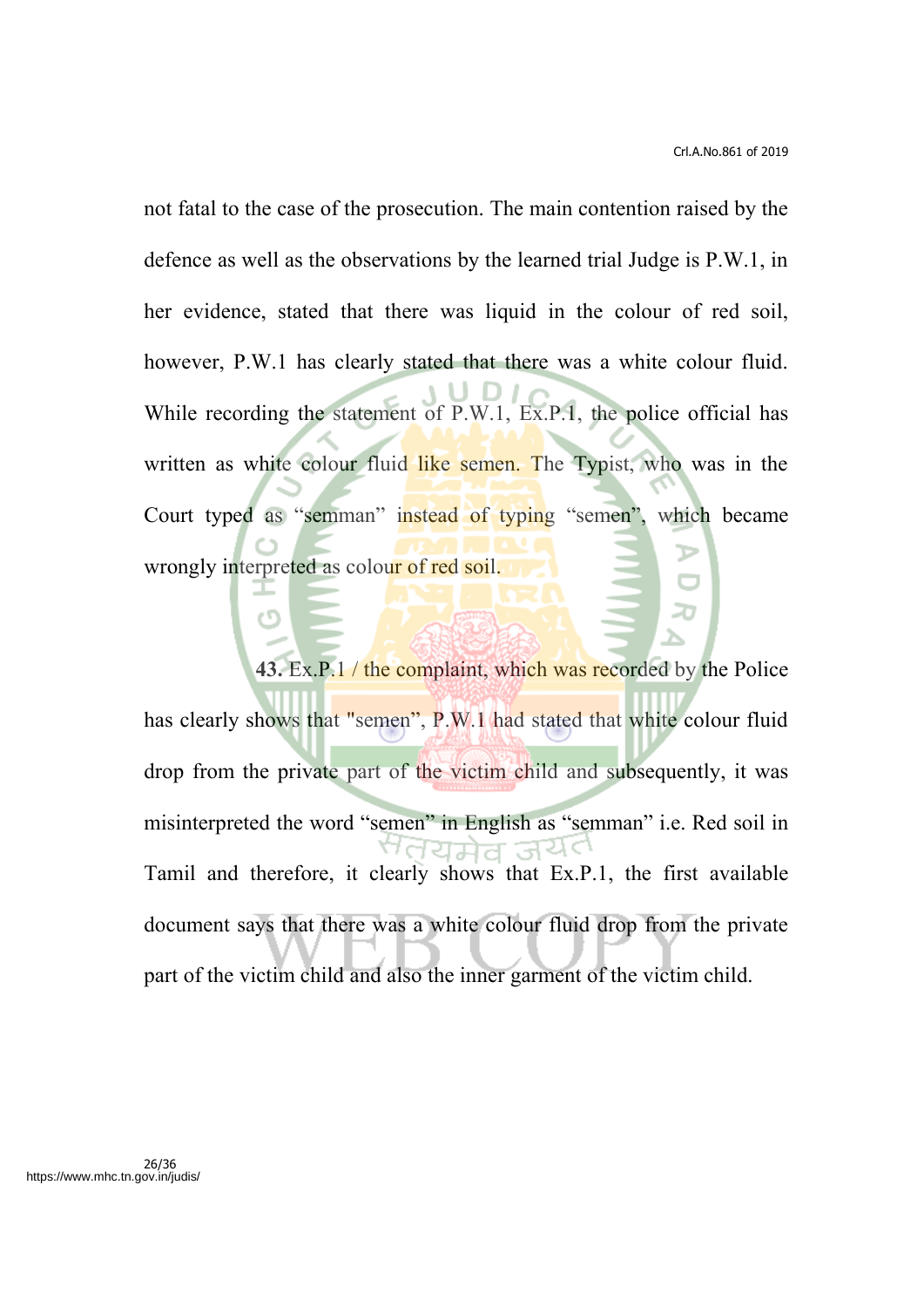not fatal to the case of the prosecution. The main contention raised by the defence as well as the observations by the learned trial Judge is P.W.1, in her evidence, stated that there was liquid in the colour of red soil, however, P.W.1 has clearly stated that there was a white colour fluid. While recording the statement of P.W.1, Ex.P.1, the police official has written as white colour fluid like semen. The Typist, who was in the Court typed as "semman" instead of typing "semen", which became wrongly interpreted as colour of red soil.

**43.** Ex.P.1 / the complaint, which was recorded by the Police has clearly shows that "semen", P.W.1 had stated that white colour fluid drop from the private part of the victim child and subsequently, it was misinterpreted the word "semen" in English as "semman" i.e. Red soil in ਾਰਹਸ਼ੇਰ ਤੱ Tamil and therefore, it clearly shows that Ex.P.1, the first available document says that there was a white colour fluid drop from the private part of the victim child and also the inner garment of the victim child.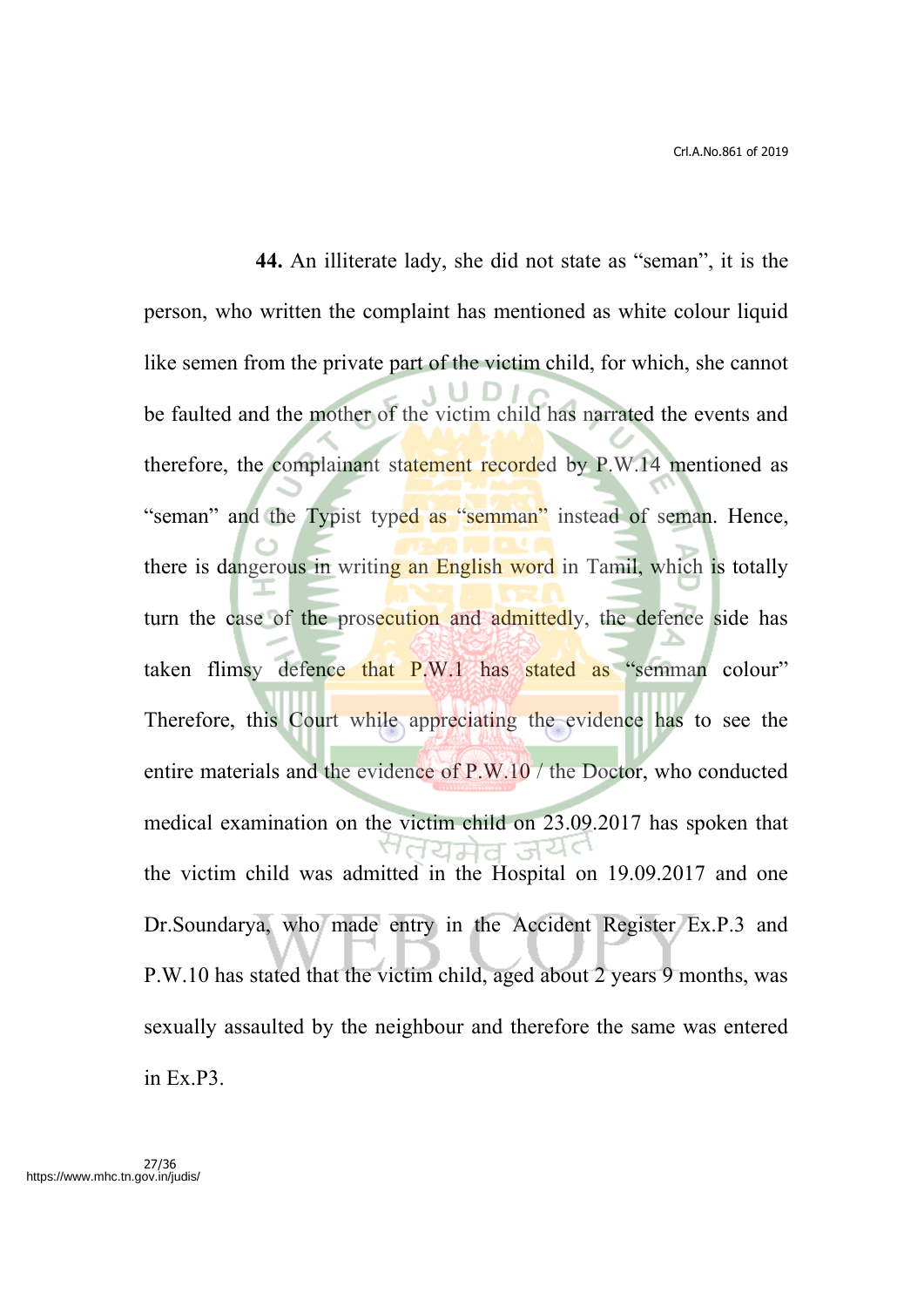**44.** An illiterate lady, she did not state as "seman", it is the person, who written the complaint has mentioned as white colour liquid like semen from the private part of the victim child, for which, she cannot be faulted and the mother of the victim child has narrated the events and therefore, the complainant statement recorded by P.W.14 mentioned as "seman" and the Typist typed as "semman" instead of seman. Hence, there is dangerous in writing an English word in Tamil, which is totally turn the case of the prosecution and admittedly, the defence side has taken flimsy defence that P.W.1 has stated as "semman colour" Therefore, this Court while appreciating the evidence has to see the entire materials and the evidence of P.W.10 / the Doctor, who conducted medical examination on the victim child on 23.09.2017 has spoken that Meleta 1990 the victim child was admitted in the Hospital on 19.09.2017 and one Dr.Soundarya, who made entry in the Accident Register Ex.P.3 and P.W.10 has stated that the victim child, aged about 2 years 9 months, was sexually assaulted by the neighbour and therefore the same was entered in Ex.P3.

27/36 https://www.mhc.tn.gov.in/judis/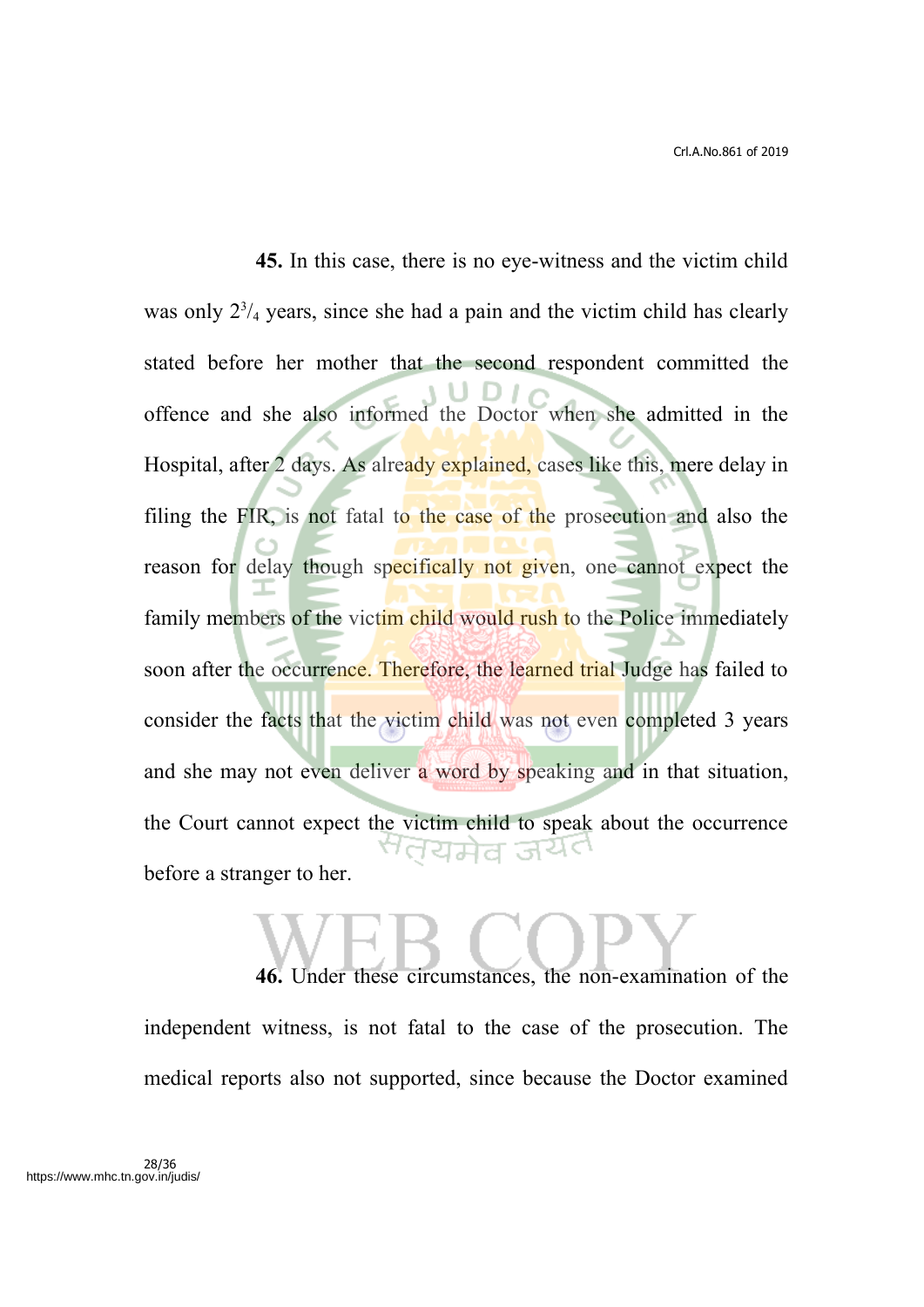**45.** In this case, there is no eye-witness and the victim child was only  $2^{3}/_{4}$  years, since she had a pain and the victim child has clearly stated before her mother that the second respondent committed the offence and she also informed the Doctor when she admitted in the Hospital, after 2 days. As already explained, cases like this, mere delay in filing the FIR, is not fatal to the case of the prosecution and also the reason for delay though specifically not given, one cannot expect the family members of the victim child would rush to the Police immediately soon after the occurrence. Therefore, the learned trial Judge has failed to consider the facts that the victim child was not even completed 3 years and she may not even deliver a word by speaking and in that situation, the Court cannot expect the victim child to speak about the occurrence <sup>ल</sup>तयमेव जय¢ before a stranger to her.

**46.** Under these circumstances, the non-examination of the independent witness, is not fatal to the case of the prosecution. The medical reports also not supported, since because the Doctor examined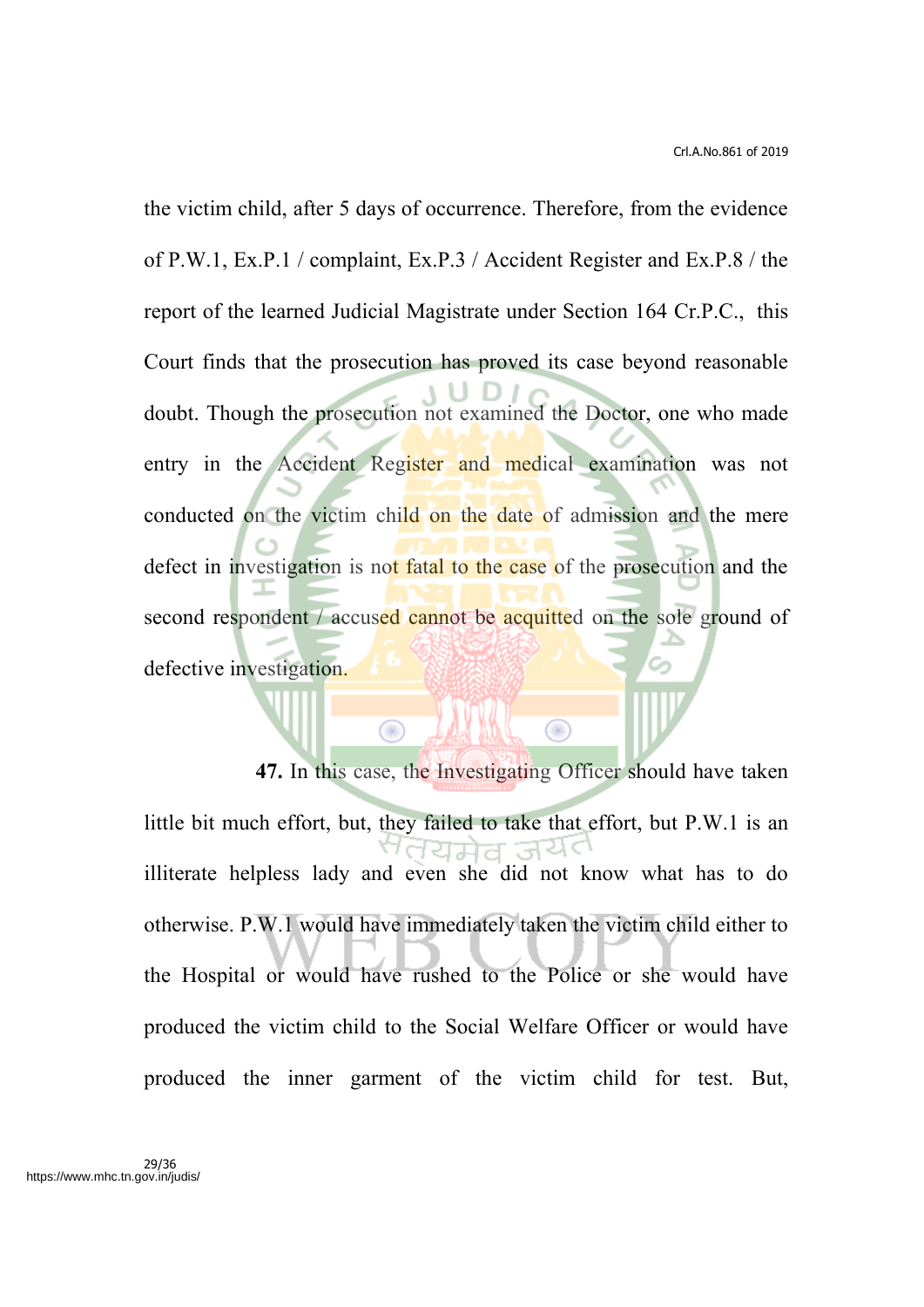the victim child, after 5 days of occurrence. Therefore, from the evidence of P.W.1, Ex.P.1 / complaint, Ex.P.3 / Accident Register and Ex.P.8 / the report of the learned Judicial Magistrate under Section 164 Cr.P.C., this Court finds that the prosecution has proved its case beyond reasonable doubt. Though the prosecution not examined the Doctor, one who made entry in the Accident Register and medical examination was not conducted on the victim child on the date of admission and the mere defect in investigation is not fatal to the case of the prosecution and the second respondent / accused cannot be acquitted on the sole ground of defective investigation.

**47.** In this case, the Investigating Officer should have taken little bit much effort, but, they failed to take that effort, but P.W.1 is an illiterate helpless lady and even she did not know what has to do otherwise. P.W.1 would have immediately taken the victim child either to the Hospital or would have rushed to the Police or she would have produced the victim child to the Social Welfare Officer or would have produced the inner garment of the victim child for test. But,

 $\circledcirc$ 

⋒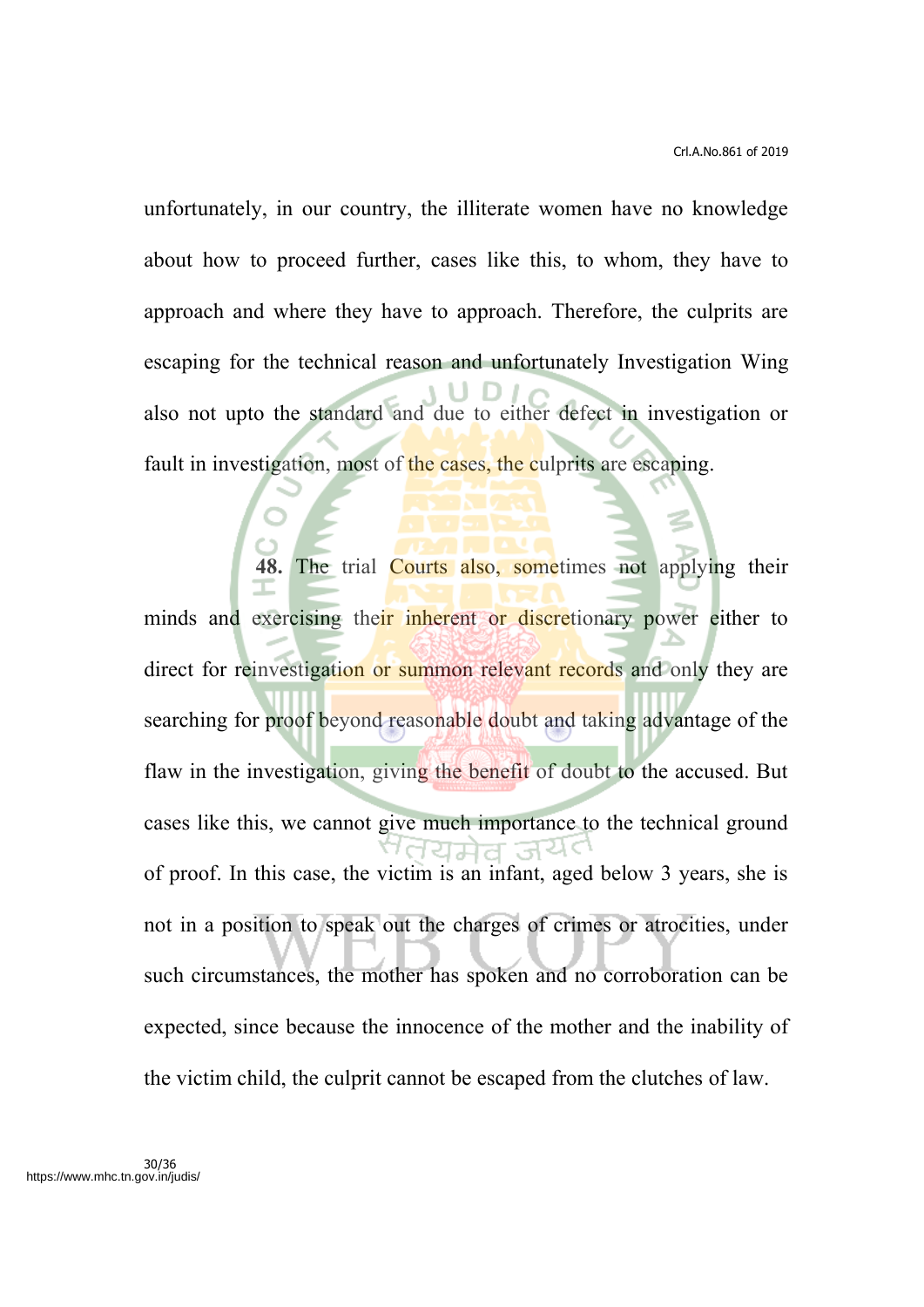unfortunately, in our country, the illiterate women have no knowledge about how to proceed further, cases like this, to whom, they have to approach and where they have to approach. Therefore, the culprits are escaping for the technical reason and unfortunately Investigation Wing also not upto the standard and due to either defect in investigation or fault in investigation, most of the cases, the culprits are escaping.

The trial Courts also, sometimes not applying their minds and exercising their inherent or discretionary power either to direct for reinvestigation or summon relevant records and only they are searching for proof beyond reasonable doubt and taking advantage of the flaw in the investigation, giving the benefit of doubt to the accused. But cases like this, we cannot give much importance to the technical ground of proof. In this case, the victim is an infant, aged below 3 years, she is not in a position to speak out the charges of crimes or atrocities, under such circumstances, the mother has spoken and no corroboration can be expected, since because the innocence of the mother and the inability of the victim child, the culprit cannot be escaped from the clutches of law.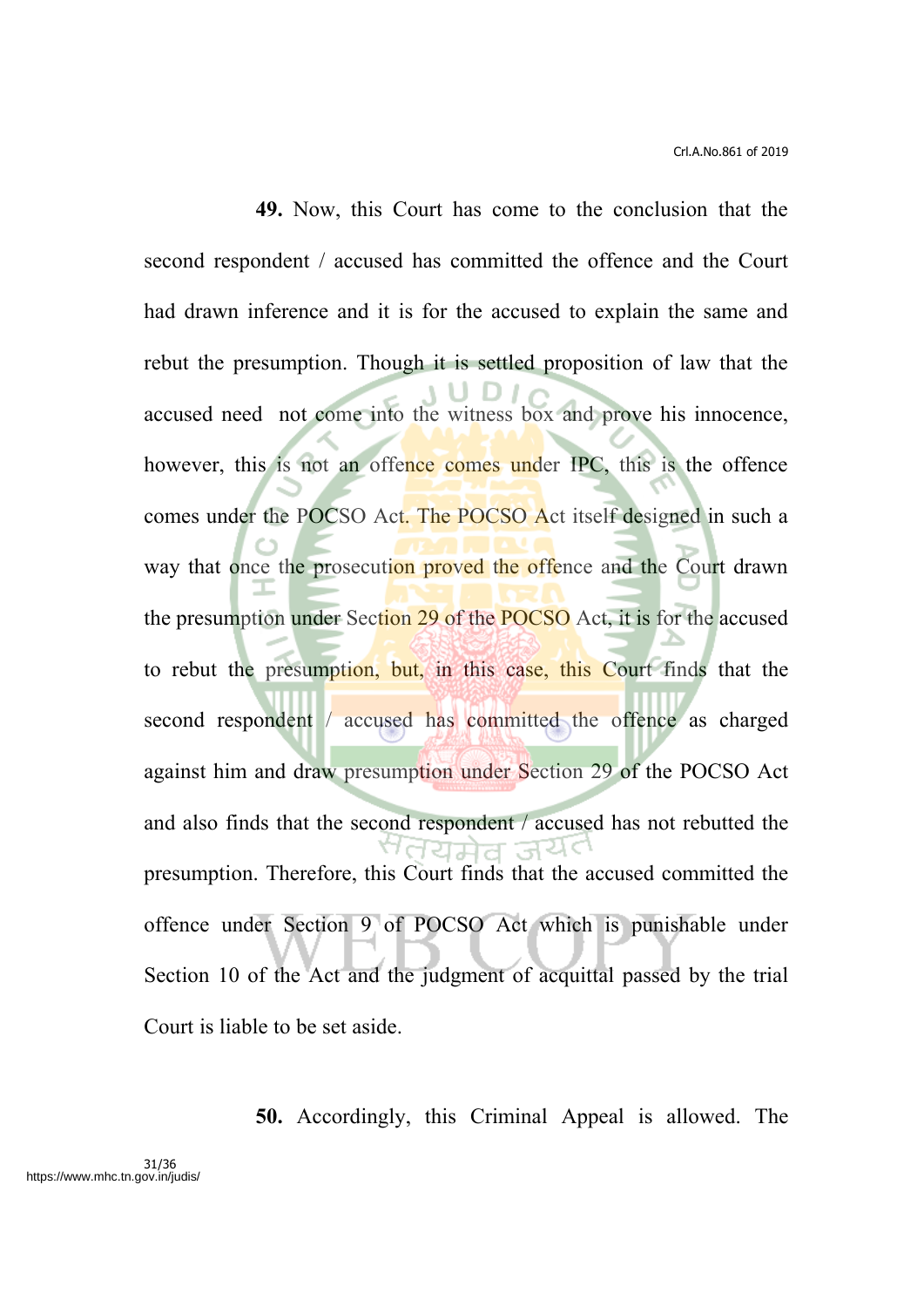**49.** Now, this Court has come to the conclusion that the second respondent / accused has committed the offence and the Court had drawn inference and it is for the accused to explain the same and rebut the presumption. Though it is settled proposition of law that the accused need not come into the witness box and prove his innocence, however, this is not an offence comes under IPC, this is the offence comes under the POCSO Act. The POCSO Act itself designed in such a way that once the prosecution proved the offence and the Court drawn the presumption under Section 29 of the POCSO Act, it is for the accused to rebut the presumption, but, in this case, this Court finds that the second respondent / accused has committed the offence as charged against him and draw presumption under Section 29 of the POCSO Act and also finds that the second respondent / accused has not rebutted the ਹਿਸ਼ੇਰ ਤੇਖੋ presumption. Therefore, this Court finds that the accused committed the offence under Section 9 of POCSO Act which is punishable under Section 10 of the Act and the judgment of acquittal passed by the trial Court is liable to be set aside.

**50.** Accordingly, this Criminal Appeal is allowed. The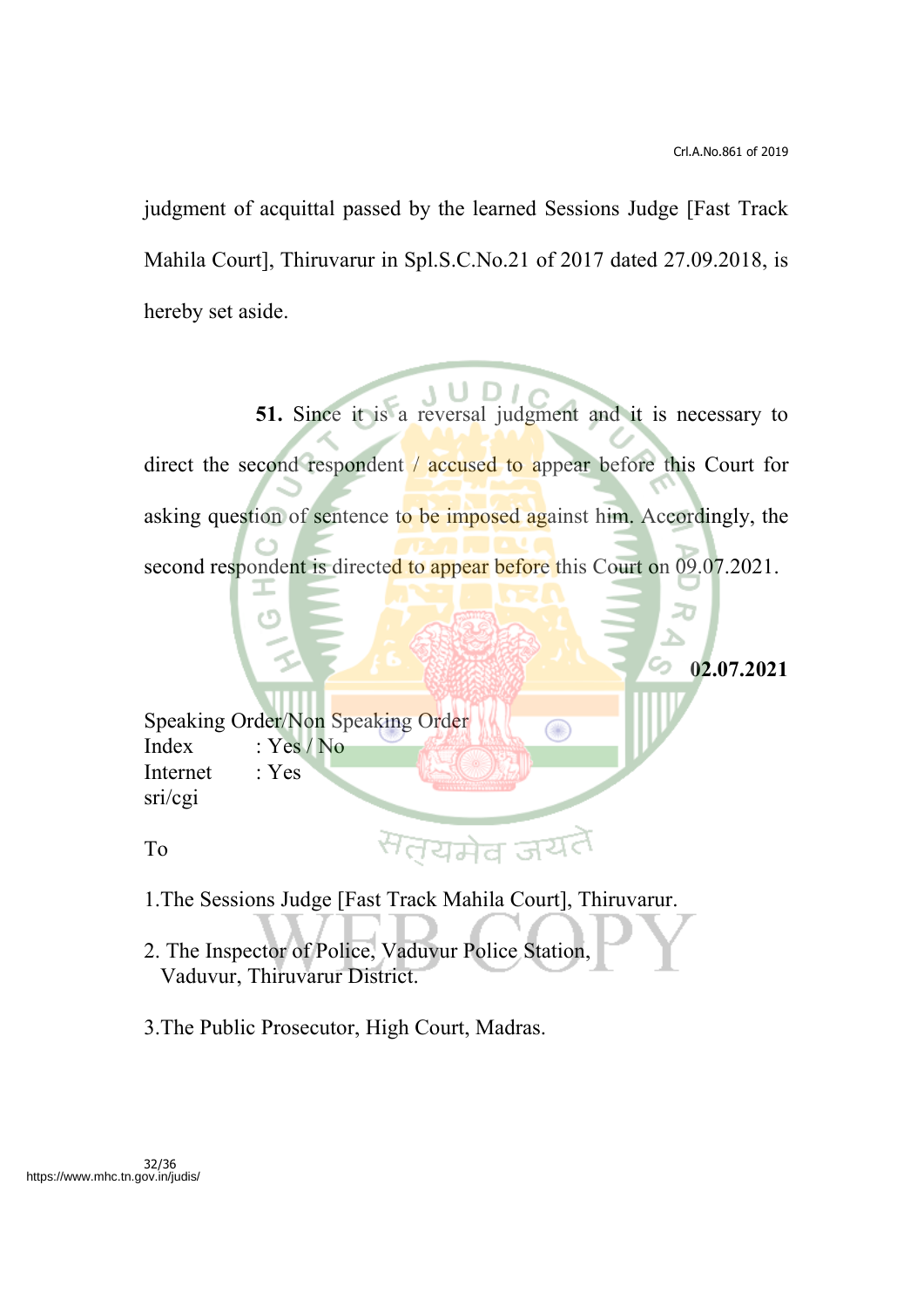judgment of acquittal passed by the learned Sessions Judge [Fast Track Mahila Court], Thiruvarur in Spl.S.C.No.21 of 2017 dated 27.09.2018, is hereby set aside.

**51.** Since it is a reversal judgment and it is necessary to direct the second respondent / accused to appear before this Court for asking question of sentence to be imposed against him. Accordingly, the second respondent is directed to appear before this Court on 09.07.2021.

Œ

**02.07.2021**

Speaking Order/Non Speaking Order Index : Yes / No Internet : Yes sri/cgi

To

1.The Sessions Judge [Fast Track Mahila Court], Thiruvarur.

सत्यमेव ज<sup>र</sup>

- 2. The Inspector of Police, Vaduvur Police Station, Vaduvur, Thiruvarur District.
- 3.The Public Prosecutor, High Court, Madras.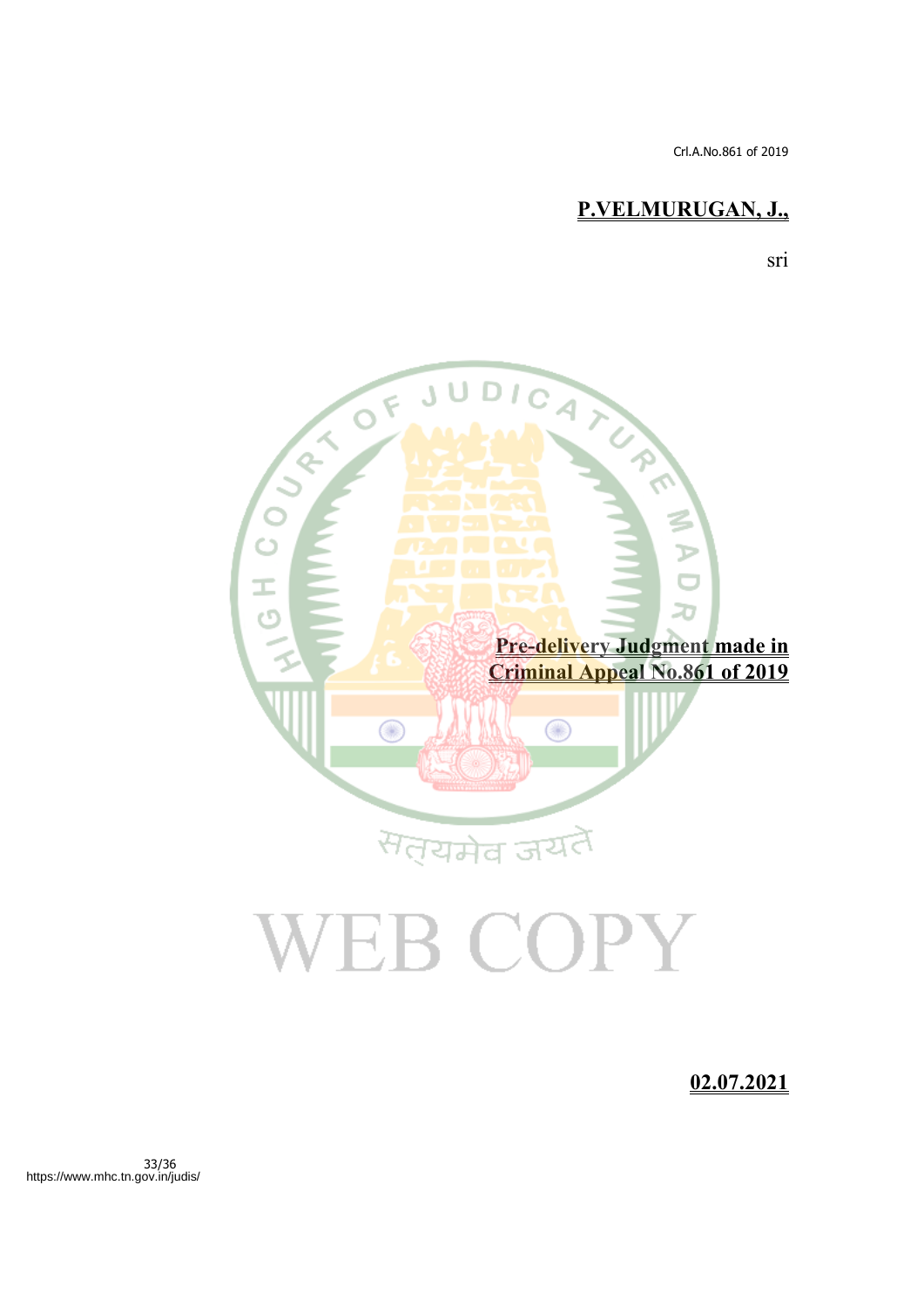Crl.A.No.861 of 2019

# **P.VELMURUGAN, J.,**

sri



# **02.07.2021**

33/36 https://www.mhc.tn.gov.in/judis/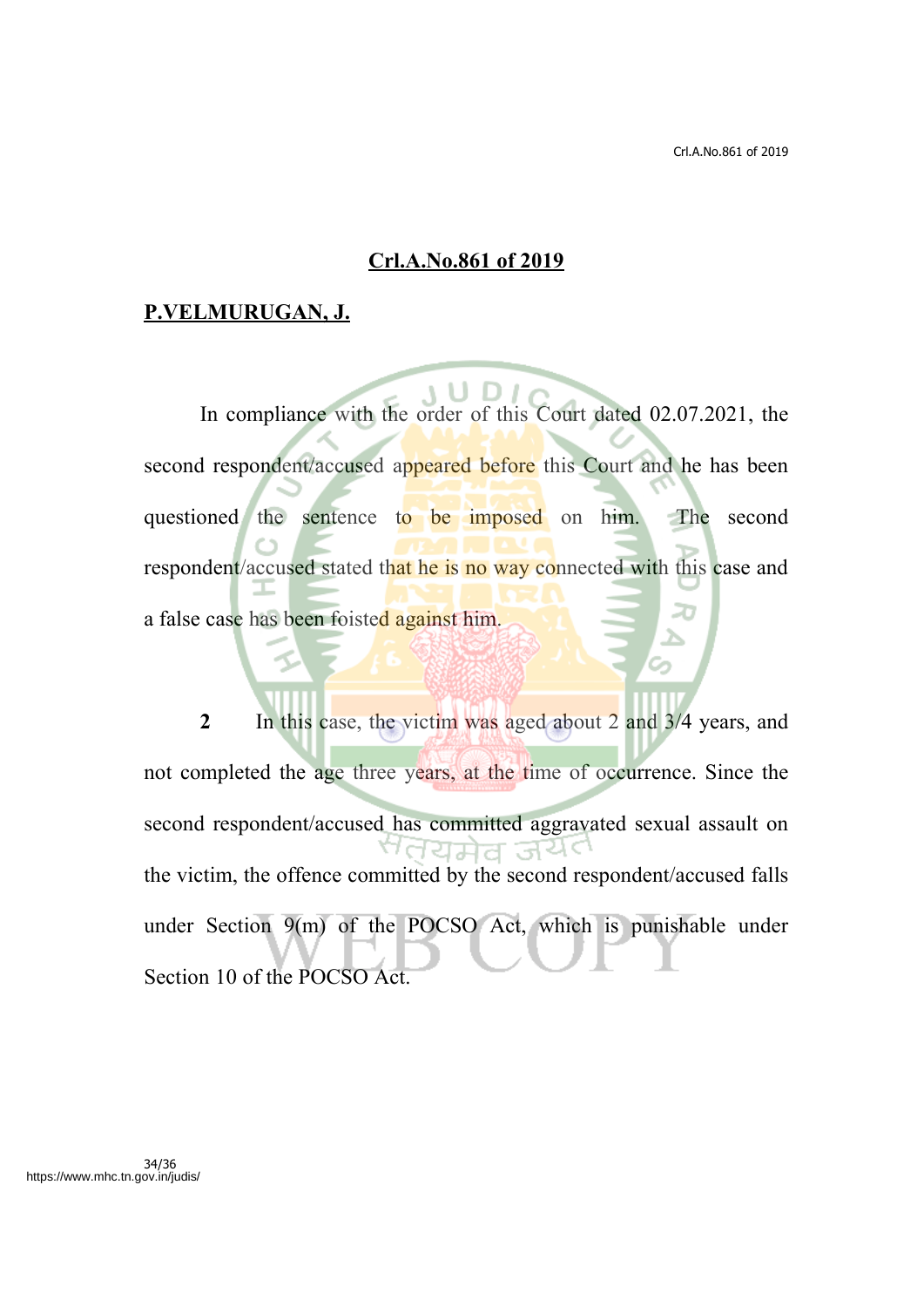#### **Crl.A.No.861 of 2019**

## **P.VELMURUGAN, J.**

In compliance with the order of this Court dated 02.07.2021, the second respondent/accused appeared before this Court and he has been questioned the sentence to be imposed on him. The second respondent/accused stated that he is no way connected with this case and a false case has been foisted against him.

**2** In this case, the victim was aged about 2 and 3/4 years, and not completed the age three years, at the time of occurrence. Since the second respondent/accused has committed aggravated sexual assault on <sup>ਅ</sup>ਰੰਧਸੇਰ ਕੰਪੋ**ਾ** the victim, the offence committed by the second respondent/accused falls under Section 9(m) of the POCSO Act, which is punishable under Section 10 of the POCSO Act.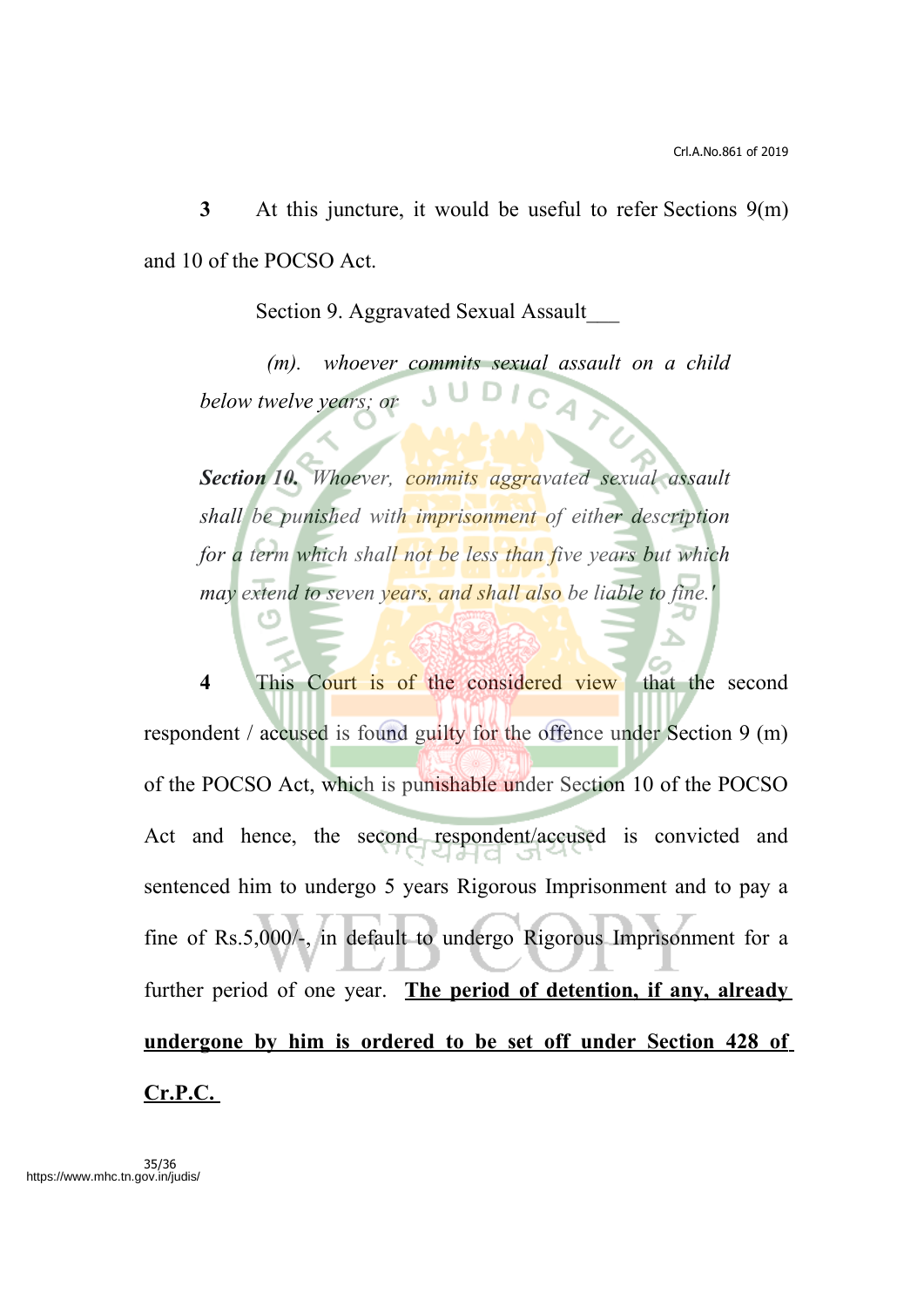**3** At this juncture, it would be useful to refer Sections 9(m) and 10 of the POCSO Act.

Section 9. Aggravated Sexual Assault\_\_\_

*(m). whoever commits sexual assault on a child below twelve years; or*

*Section 10. Whoever, commits aggravated sexual assault shall be punished with imprisonment of either description for a term which shall not be less than five years but which may extend to seven years, and shall also be liable to fine.'*

**4** This Court is of the considered view that the second respondent / accused is found guilty for the offence under Section 9 (m) of the POCSO Act, which is punishable under Section 10 of the POCSO Act and hence, the second respondent/accused is convicted and sentenced him to undergo 5 years Rigorous Imprisonment and to pay a fine of Rs.5,000/-, in default to undergo Rigorous Imprisonment for a further period of one year. **The period of detention, if any, already undergone by him is ordered to be set off under Section 428 of Cr.P.C.**